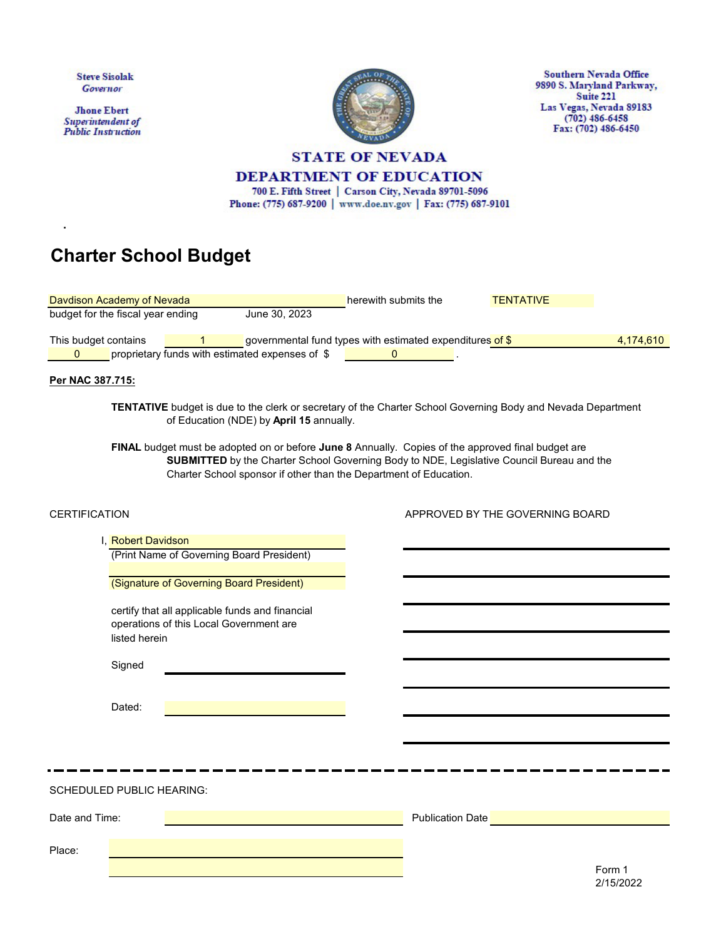| <b>Steve Sisolak</b><br>Governor<br><b>Jhone Ebert</b><br>Superintendent of<br><b>Public Instruction</b> |                                                                 |                                         | <b>DEPARTMENT OF EDUCATION</b><br>700 E. Fifth Street   Carson City, Nevada 89701-5096<br>Phone: (775) 687-9200   www.doe.nv.gov   Fax: (775) 687-9101                                                                                                                                                                                                                                                                                  | <b>STATE OF NEVADA</b> |                                                             | <b>Southern Nevada Office</b><br>9890 S. Maryland Parkway,<br>Suite 221<br>Las Vegas, Nevada 89183<br>$(702)$ 486-6458<br>Fax: (702) 486-6450 |
|----------------------------------------------------------------------------------------------------------|-----------------------------------------------------------------|-----------------------------------------|-----------------------------------------------------------------------------------------------------------------------------------------------------------------------------------------------------------------------------------------------------------------------------------------------------------------------------------------------------------------------------------------------------------------------------------------|------------------------|-------------------------------------------------------------|-----------------------------------------------------------------------------------------------------------------------------------------------|
|                                                                                                          |                                                                 | <b>Charter School Budget</b>            |                                                                                                                                                                                                                                                                                                                                                                                                                                         |                        |                                                             |                                                                                                                                               |
|                                                                                                          | Davdison Academy of Nevada<br>budget for the fiscal year ending |                                         | June 30, 2023                                                                                                                                                                                                                                                                                                                                                                                                                           | herewith submits the   | <b>TENTATIVE</b>                                            |                                                                                                                                               |
| This budget contains<br>$\Omega$                                                                         |                                                                 |                                         | governmental fund types with estimated expenditures of \$<br>proprietary funds with estimated expenses of \$                                                                                                                                                                                                                                                                                                                            | $\Omega$               |                                                             | 4,174,610                                                                                                                                     |
| Per NAC 387.715:                                                                                         |                                                                 |                                         | <b>TENTATIVE</b> budget is due to the clerk or secretary of the Charter School Governing Body and Nevada Department<br>of Education (NDE) by April 15 annually.<br>FINAL budget must be adopted on or before June 8 Annually. Copies of the approved final budget are<br>SUBMITTED by the Charter School Governing Body to NDE, Legislative Council Bureau and the<br>Charter School sponsor if other than the Department of Education. |                        |                                                             |                                                                                                                                               |
| <b>CERTIFICATION</b>                                                                                     |                                                                 |                                         |                                                                                                                                                                                                                                                                                                                                                                                                                                         |                        | APPROVED BY THE GOVERNING BOARD                             |                                                                                                                                               |
|                                                                                                          | I. Robert Davidson                                              |                                         |                                                                                                                                                                                                                                                                                                                                                                                                                                         |                        |                                                             |                                                                                                                                               |
|                                                                                                          |                                                                 |                                         | (Print Name of Governing Board President)                                                                                                                                                                                                                                                                                                                                                                                               |                        |                                                             |                                                                                                                                               |
|                                                                                                          |                                                                 |                                         | (Signature of Governing Board President)                                                                                                                                                                                                                                                                                                                                                                                                |                        |                                                             |                                                                                                                                               |
|                                                                                                          | listed herein<br>Signed                                         | operations of this Local Government are | certify that all applicable funds and financial                                                                                                                                                                                                                                                                                                                                                                                         |                        |                                                             |                                                                                                                                               |
|                                                                                                          | Dated:                                                          |                                         |                                                                                                                                                                                                                                                                                                                                                                                                                                         |                        |                                                             |                                                                                                                                               |
|                                                                                                          | SCHEDULED PUBLIC HEARING:                                       |                                         |                                                                                                                                                                                                                                                                                                                                                                                                                                         |                        |                                                             |                                                                                                                                               |
| Date and Time:                                                                                           |                                                                 |                                         |                                                                                                                                                                                                                                                                                                                                                                                                                                         |                        | Publication Date <b>Contract Contract Contract Contract</b> |                                                                                                                                               |
|                                                                                                          |                                                                 |                                         |                                                                                                                                                                                                                                                                                                                                                                                                                                         |                        |                                                             |                                                                                                                                               |
| Place:                                                                                                   |                                                                 |                                         |                                                                                                                                                                                                                                                                                                                                                                                                                                         |                        |                                                             | Form 1<br>2/15/2022                                                                                                                           |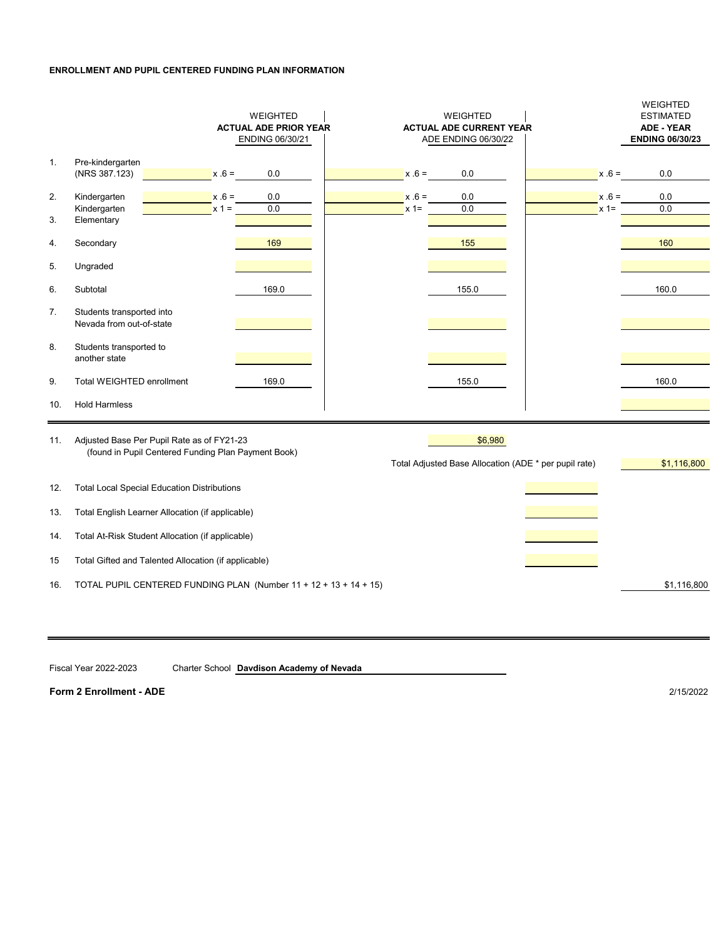### **ENROLLMENT AND PUPIL CENTERED FUNDING PLAN INFORMATION**

|                |                                                                                                   | WEIGHTED<br><b>ACTUAL ADE PRIOR YEAR</b><br>ENDING 06/30/21 |                   | WEIGHTED<br><b>ACTUAL ADE CURRENT YEAR</b><br>ADE ENDING 06/30/22 |                   | WEIGHTED<br><b>ESTIMATED</b><br><b>ADE - YEAR</b><br><b>ENDING 06/30/23</b> |
|----------------|---------------------------------------------------------------------------------------------------|-------------------------------------------------------------|-------------------|-------------------------------------------------------------------|-------------------|-----------------------------------------------------------------------------|
| $\mathbf{1}$ . | Pre-kindergarten<br>(NRS 387.123)<br>$x .6 =$                                                     | 0.0                                                         | $x .6 =$          | 0.0                                                               | $x .6 =$          | 0.0                                                                         |
| 2.             | Kindergarten<br>$x .6 =$<br>Kindergarten<br>$x 1 =$                                               | 0.0<br>0.0                                                  | $x .6 =$<br>$x =$ | 0.0<br>0.0                                                        | $x .6 =$<br>$x =$ | 0.0<br>0.0                                                                  |
| 3.<br>4.       | Elementary<br>Secondary                                                                           | 169                                                         |                   | 155                                                               |                   | 160                                                                         |
| 5.             | Ungraded                                                                                          |                                                             |                   |                                                                   |                   |                                                                             |
| 6.             | Subtotal                                                                                          | 169.0                                                       |                   | 155.0                                                             |                   | 160.0                                                                       |
| 7.             | Students transported into<br>Nevada from out-of-state                                             |                                                             |                   |                                                                   |                   |                                                                             |
| 8.             | Students transported to<br>another state                                                          |                                                             |                   |                                                                   |                   |                                                                             |
| 9.             | Total WEIGHTED enrollment                                                                         | 169.0                                                       |                   | 155.0                                                             |                   | 160.0                                                                       |
| 10.            | <b>Hold Harmless</b>                                                                              |                                                             |                   |                                                                   |                   |                                                                             |
| 11.            | Adjusted Base Per Pupil Rate as of FY21-23<br>(found in Pupil Centered Funding Plan Payment Book) |                                                             |                   | \$6,980<br>Total Adjusted Base Allocation (ADE * per pupil rate)  |                   | \$1,116,800                                                                 |
| 12.            | <b>Total Local Special Education Distributions</b>                                                |                                                             |                   |                                                                   |                   |                                                                             |
| 13.            | Total English Learner Allocation (if applicable)                                                  |                                                             |                   |                                                                   |                   |                                                                             |
| 14.            | Total At-Risk Student Allocation (if applicable)                                                  |                                                             |                   |                                                                   |                   |                                                                             |
| 15             | Total Gifted and Talented Allocation (if applicable)                                              |                                                             |                   |                                                                   |                   |                                                                             |
| 16.            | TOTAL PUPIL CENTERED FUNDING PLAN (Number 11 + 12 + 13 + 14 + 15)                                 |                                                             |                   |                                                                   |                   | \$1,116,800                                                                 |

Fiscal Year 2022-2023 Charter School **Davdison Academy of Nevada**

**Form 2 Enrollment - ADE** 2/15/2022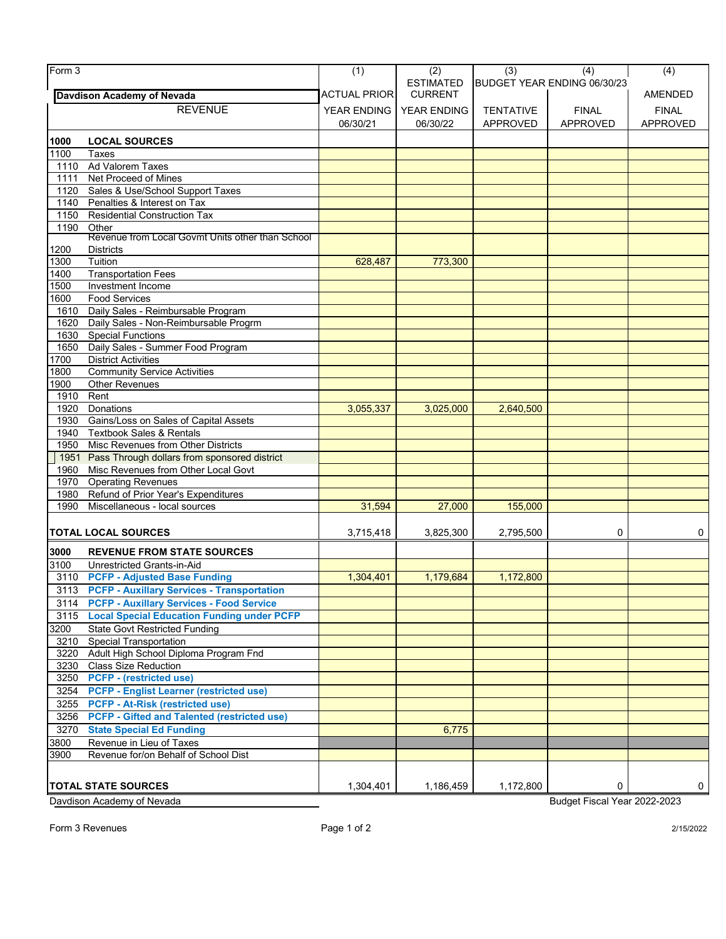| Form 3       |                                                                    | (1)                     | (2)                                | (3)              | (4)                             | (4)             |
|--------------|--------------------------------------------------------------------|-------------------------|------------------------------------|------------------|---------------------------------|-----------------|
|              | <b>Davdison Academy of Nevada</b>                                  | <b>ACTUAL PRIOR</b>     | <b>ESTIMATED</b><br><b>CURRENT</b> |                  | BUDGET YEAR ENDING 06/30/23     | AMENDED         |
|              | <b>REVENUE</b>                                                     |                         |                                    |                  |                                 |                 |
|              |                                                                    | YEAR ENDING<br>06/30/21 | YEAR ENDING<br>06/30/22            | <b>TENTATIVE</b> | <b>FINAL</b><br><b>APPROVED</b> | <b>FINAL</b>    |
|              |                                                                    |                         |                                    | APPROVED         |                                 | <b>APPROVED</b> |
| 1000         | <b>LOCAL SOURCES</b>                                               |                         |                                    |                  |                                 |                 |
| 1100         | Taxes                                                              |                         |                                    |                  |                                 |                 |
| 1110         | Ad Valorem Taxes                                                   |                         |                                    |                  |                                 |                 |
| 1111         | Net Proceed of Mines                                               |                         |                                    |                  |                                 |                 |
| 1120         | Sales & Use/School Support Taxes                                   |                         |                                    |                  |                                 |                 |
| 1140<br>1150 | Penalties & Interest on Tax<br><b>Residential Construction Tax</b> |                         |                                    |                  |                                 |                 |
| 1190         | Other                                                              |                         |                                    |                  |                                 |                 |
|              | Revenue from Local Govmt Units other than School                   |                         |                                    |                  |                                 |                 |
| 1200         | <b>Districts</b>                                                   |                         |                                    |                  |                                 |                 |
| 1300         | Tuition                                                            | 628,487                 | 773,300                            |                  |                                 |                 |
| 1400         | <b>Transportation Fees</b>                                         |                         |                                    |                  |                                 |                 |
| 1500         | Investment Income                                                  |                         |                                    |                  |                                 |                 |
| 1600         | <b>Food Services</b>                                               |                         |                                    |                  |                                 |                 |
| 1610         | Daily Sales - Reimbursable Program                                 |                         |                                    |                  |                                 |                 |
| 1620         | Daily Sales - Non-Reimbursable Progrm                              |                         |                                    |                  |                                 |                 |
| 1630         | <b>Special Functions</b>                                           |                         |                                    |                  |                                 |                 |
| 1650         | Daily Sales - Summer Food Program                                  |                         |                                    |                  |                                 |                 |
| 1700         | <b>District Activities</b>                                         |                         |                                    |                  |                                 |                 |
| 1800         | <b>Community Service Activities</b>                                |                         |                                    |                  |                                 |                 |
| 1900         | <b>Other Revenues</b>                                              |                         |                                    |                  |                                 |                 |
| 1910         | Rent                                                               |                         |                                    |                  |                                 |                 |
| 1920         | Donations                                                          | 3,055,337               | 3,025,000                          | 2,640,500        |                                 |                 |
| 1930         | Gains/Loss on Sales of Capital Assets                              |                         |                                    |                  |                                 |                 |
| 1940         | <b>Textbook Sales &amp; Rentals</b>                                |                         |                                    |                  |                                 |                 |
| 1950         | Misc Revenues from Other Districts                                 |                         |                                    |                  |                                 |                 |
| 1951         | Pass Through dollars from sponsored district                       |                         |                                    |                  |                                 |                 |
| 1960         | Misc Revenues from Other Local Govt                                |                         |                                    |                  |                                 |                 |
| 1970         | <b>Operating Revenues</b>                                          |                         |                                    |                  |                                 |                 |
| 1980         | Refund of Prior Year's Expenditures                                |                         |                                    |                  |                                 |                 |
| 1990         | Miscellaneous - local sources                                      | 31,594                  | 27,000                             | 155,000          |                                 |                 |
|              |                                                                    |                         |                                    |                  |                                 |                 |
|              | <b>TOTAL LOCAL SOURCES</b>                                         | 3,715,418               | 3,825,300                          | 2,795,500        | $\mathbf 0$                     | 0               |
| 3000         | <b>REVENUE FROM STATE SOURCES</b>                                  |                         |                                    |                  |                                 |                 |
| 3100         | Unrestricted Grants-in-Aid                                         |                         |                                    |                  |                                 |                 |
| 3110         | <b>PCFP - Adjusted Base Funding</b>                                | 1,304,401               | 1,179,684                          | 1,172,800        |                                 |                 |
| 3113         | <b>PCFP - Auxillary Services - Transportation</b>                  |                         |                                    |                  |                                 |                 |
|              | 3114 PCFP - Auxillary Services - Food Service                      |                         |                                    |                  |                                 |                 |
|              | 3115 Local Special Education Funding under PCFP                    |                         |                                    |                  |                                 |                 |
| 3200         | <b>State Govt Restricted Funding</b>                               |                         |                                    |                  |                                 |                 |
| 3210         | <b>Special Transportation</b>                                      |                         |                                    |                  |                                 |                 |
| 3220         | Adult High School Diploma Program Fnd                              |                         |                                    |                  |                                 |                 |
| 3230         | <b>Class Size Reduction</b>                                        |                         |                                    |                  |                                 |                 |
| 3250         | <b>PCFP</b> - (restricted use)                                     |                         |                                    |                  |                                 |                 |
| 3254         | <b>PCFP - Englist Learner (restricted use)</b>                     |                         |                                    |                  |                                 |                 |
| 3255         | <b>PCFP - At-Risk (restricted use)</b>                             |                         |                                    |                  |                                 |                 |
| 3256         | <b>PCFP - Gifted and Talented (restricted use)</b>                 |                         |                                    |                  |                                 |                 |
| 3270         | <b>State Special Ed Funding</b>                                    |                         | 6,775                              |                  |                                 |                 |
| 3800         | Revenue in Lieu of Taxes                                           |                         |                                    |                  |                                 |                 |
| 3900         | Revenue for/on Behalf of School Dist                               |                         |                                    |                  |                                 |                 |
|              |                                                                    |                         |                                    |                  |                                 |                 |
|              |                                                                    | 1,304,401               |                                    |                  | 0                               | 0               |
|              | <b>TOTAL STATE SOURCES</b>                                         |                         | 1,186,459                          | 1,172,800        |                                 |                 |
|              | Davdison Academy of Nevada                                         |                         |                                    |                  | Budget Fiscal Year 2022-2023    |                 |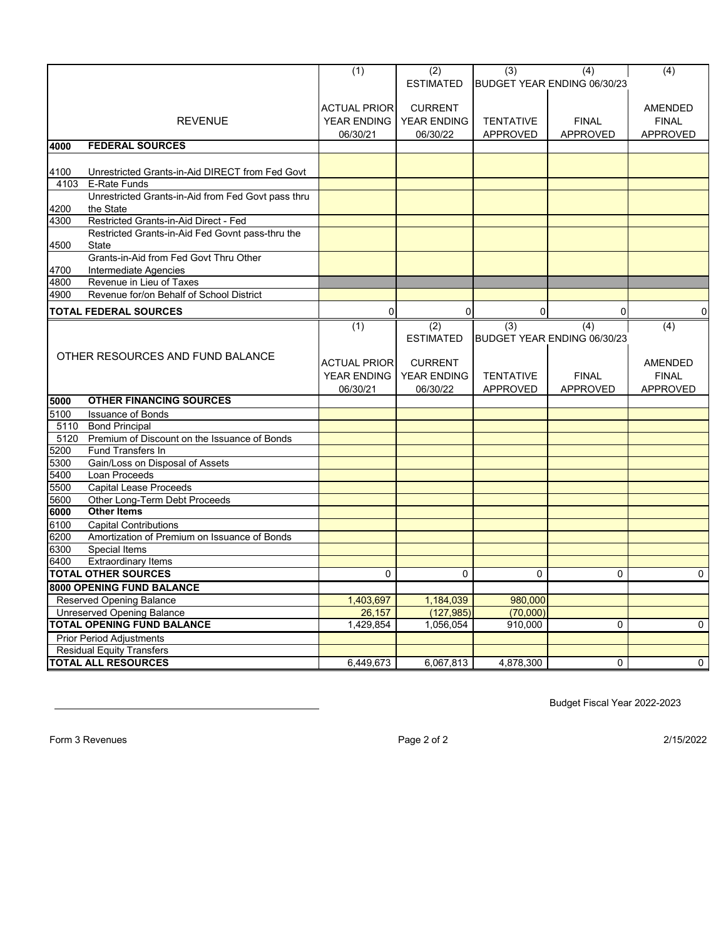|              |                                                                       | (1)                 | (2)                | (3)              | (4)                         | (4)             |
|--------------|-----------------------------------------------------------------------|---------------------|--------------------|------------------|-----------------------------|-----------------|
|              |                                                                       |                     | <b>ESTIMATED</b>   |                  | BUDGET YEAR ENDING 06/30/23 |                 |
|              |                                                                       |                     |                    |                  |                             |                 |
|              |                                                                       | <b>ACTUAL PRIOR</b> | <b>CURRENT</b>     |                  |                             | AMENDED         |
|              | <b>REVENUE</b>                                                        | <b>YEAR ENDING</b>  | <b>YEAR ENDING</b> | <b>TENTATIVE</b> | <b>FINAL</b>                | <b>FINAL</b>    |
|              |                                                                       | 06/30/21            | 06/30/22           | <b>APPROVED</b>  | <b>APPROVED</b>             | <b>APPROVED</b> |
| 4000         | <b>FEDERAL SOURCES</b>                                                |                     |                    |                  |                             |                 |
|              |                                                                       |                     |                    |                  |                             |                 |
| 4100         | Unrestricted Grants-in-Aid DIRECT from Fed Govt                       |                     |                    |                  |                             |                 |
| 4103         | <b>E-Rate Funds</b>                                                   |                     |                    |                  |                             |                 |
| 4200         | Unrestricted Grants-in-Aid from Fed Govt pass thru<br>the State       |                     |                    |                  |                             |                 |
| 4300         | Restricted Grants-in-Aid Direct - Fed                                 |                     |                    |                  |                             |                 |
|              | Restricted Grants-in-Aid Fed Govnt pass-thru the                      |                     |                    |                  |                             |                 |
| 4500         | <b>State</b>                                                          |                     |                    |                  |                             |                 |
|              | Grants-in-Aid from Fed Govt Thru Other                                |                     |                    |                  |                             |                 |
| 4700         | Intermediate Agencies                                                 |                     |                    |                  |                             |                 |
| 4800         | Revenue in Lieu of Taxes                                              |                     |                    |                  |                             |                 |
| 4900         | Revenue for/on Behalf of School District                              |                     |                    |                  |                             |                 |
|              | <b>TOTAL FEDERAL SOURCES</b>                                          | 0                   | $\overline{0}$     | $\mathbf 0$      | 0                           | $\mathbf{0}$    |
|              |                                                                       |                     |                    |                  |                             |                 |
|              |                                                                       | (1)                 | (2)                | (3)              | (4)                         | (4)             |
|              |                                                                       |                     | <b>ESTIMATED</b>   |                  | BUDGET YEAR ENDING 06/30/23 |                 |
|              | OTHER RESOURCES AND FUND BALANCE                                      |                     |                    |                  |                             |                 |
|              |                                                                       | <b>ACTUAL PRIOR</b> | <b>CURRENT</b>     |                  |                             | <b>AMENDED</b>  |
|              |                                                                       | <b>YEAR ENDING</b>  | <b>YEAR ENDING</b> | <b>TENTATIVE</b> | <b>FINAL</b>                | <b>FINAL</b>    |
|              | <b>OTHER FINANCING SOURCES</b>                                        | 06/30/21            | 06/30/22           | <b>APPROVED</b>  | <b>APPROVED</b>             | <b>APPROVED</b> |
| 5000         |                                                                       |                     |                    |                  |                             |                 |
| 5100         | <b>Issuance of Bonds</b>                                              |                     |                    |                  |                             |                 |
| 5110<br>5120 | <b>Bond Principal</b><br>Premium of Discount on the Issuance of Bonds |                     |                    |                  |                             |                 |
| 5200         | Fund Transfers In                                                     |                     |                    |                  |                             |                 |
| 5300         | Gain/Loss on Disposal of Assets                                       |                     |                    |                  |                             |                 |
| 5400         | Loan Proceeds                                                         |                     |                    |                  |                             |                 |
| 5500         | <b>Capital Lease Proceeds</b>                                         |                     |                    |                  |                             |                 |
| 5600         | Other Long-Term Debt Proceeds                                         |                     |                    |                  |                             |                 |
| 6000         | <b>Other Items</b>                                                    |                     |                    |                  |                             |                 |
| 6100         | <b>Capital Contributions</b>                                          |                     |                    |                  |                             |                 |
| 6200         | Amortization of Premium on Issuance of Bonds                          |                     |                    |                  |                             |                 |
| 6300         | <b>Special Items</b>                                                  |                     |                    |                  |                             |                 |
| 6400         | <b>Extraordinary Items</b>                                            |                     |                    |                  |                             |                 |
|              | <b>TOTAL OTHER SOURCES</b>                                            | $\Omega$            | $\Omega$           | 0                | $\Omega$                    | $\Omega$        |
|              | <b>8000 OPENING FUND BALANCE</b>                                      |                     |                    |                  |                             |                 |
|              | Reserved Opening Balance                                              | 1,403,697           | 1,184,039          | 980,000          |                             |                 |
|              | Unreserved Opening Balance                                            | 26,157              | (127, 985)         | (70,000)         |                             |                 |
|              | <b>TOTAL OPENING FUND BALANCE</b>                                     | 1,429,854           | 1,056,054          | 910,000          | $\Omega$                    | $\mathbf{0}$    |
|              | <b>Prior Period Adjustments</b>                                       |                     |                    |                  |                             |                 |
|              | <b>Residual Equity Transfers</b>                                      |                     |                    |                  |                             |                 |
|              | <b>TOTAL ALL RESOURCES</b>                                            | 6,449,673           | 6,067,813          | 4,878,300        | $\Omega$                    | 0               |

Budget Fiscal Year 2022-2023

Form 3 Revenues Page 2 of 2 2/15/2022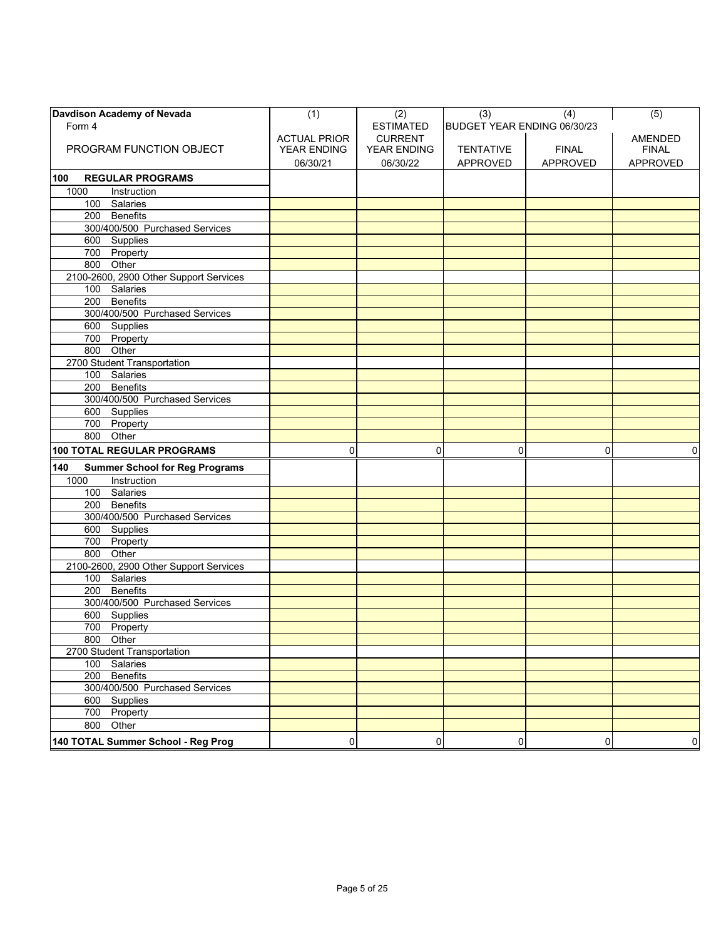| Davdison Academy of Nevada                   | (1)                 | (2)              | (3)                         | (4)             | (5)             |
|----------------------------------------------|---------------------|------------------|-----------------------------|-----------------|-----------------|
| Form 4                                       |                     | <b>ESTIMATED</b> | BUDGET YEAR ENDING 06/30/23 |                 |                 |
|                                              | <b>ACTUAL PRIOR</b> | <b>CURRENT</b>   |                             |                 | <b>AMENDED</b>  |
| PROGRAM FUNCTION OBJECT                      | YEAR ENDING         | YEAR ENDING      | <b>TENTATIVE</b>            | <b>FINAL</b>    | <b>FINAL</b>    |
|                                              | 06/30/21            | 06/30/22         | <b>APPROVED</b>             | <b>APPROVED</b> | <b>APPROVED</b> |
| 100<br><b>REGULAR PROGRAMS</b>               |                     |                  |                             |                 |                 |
| 1000<br>Instruction                          |                     |                  |                             |                 |                 |
| 100 Salaries                                 |                     |                  |                             |                 |                 |
| 200 Benefits                                 |                     |                  |                             |                 |                 |
| 300/400/500 Purchased Services               |                     |                  |                             |                 |                 |
| 600 Supplies                                 |                     |                  |                             |                 |                 |
| 700 Property                                 |                     |                  |                             |                 |                 |
| 800 Other                                    |                     |                  |                             |                 |                 |
| 2100-2600, 2900 Other Support Services       |                     |                  |                             |                 |                 |
| 100 Salaries                                 |                     |                  |                             |                 |                 |
| 200 Benefits                                 |                     |                  |                             |                 |                 |
| 300/400/500 Purchased Services               |                     |                  |                             |                 |                 |
| 600 Supplies                                 |                     |                  |                             |                 |                 |
| 700 Property                                 |                     |                  |                             |                 |                 |
| 800 Other                                    |                     |                  |                             |                 |                 |
| 2700 Student Transportation                  |                     |                  |                             |                 |                 |
| 100 Salaries                                 |                     |                  |                             |                 |                 |
| 200 Benefits                                 |                     |                  |                             |                 |                 |
| 300/400/500 Purchased Services               |                     |                  |                             |                 |                 |
| 600 Supplies                                 |                     |                  |                             |                 |                 |
| 700 Property                                 |                     |                  |                             |                 |                 |
| 800 Other                                    |                     |                  |                             |                 |                 |
| <b>100 TOTAL REGULAR PROGRAMS</b>            | $\mathbf 0$         | $\mathbf 0$      | 0                           | 0               | $\mathbf 0$     |
| 140<br><b>Summer School for Reg Programs</b> |                     |                  |                             |                 |                 |
| 1000<br>Instruction                          |                     |                  |                             |                 |                 |
| 100 Salaries                                 |                     |                  |                             |                 |                 |
| 200 Benefits                                 |                     |                  |                             |                 |                 |
| 300/400/500 Purchased Services               |                     |                  |                             |                 |                 |
| 600 Supplies                                 |                     |                  |                             |                 |                 |
| 700 Property                                 |                     |                  |                             |                 |                 |
| 800 Other                                    |                     |                  |                             |                 |                 |
| 2100-2600, 2900 Other Support Services       |                     |                  |                             |                 |                 |
| 100 Salaries                                 |                     |                  |                             |                 |                 |
| 200 Benefits                                 |                     |                  |                             |                 |                 |
| 300/400/500 Purchased Services               |                     |                  |                             |                 |                 |
| 600 Supplies                                 |                     |                  |                             |                 |                 |
| 700 Property                                 |                     |                  |                             |                 |                 |
| 800 Other                                    |                     |                  |                             |                 |                 |
| 2700 Student Transportation                  |                     |                  |                             |                 |                 |
| 100 Salaries                                 |                     |                  |                             |                 |                 |
| 200 Benefits                                 |                     |                  |                             |                 |                 |
| 300/400/500 Purchased Services               |                     |                  |                             |                 |                 |
| 600 Supplies                                 |                     |                  |                             |                 |                 |
| 700 Property                                 |                     |                  |                             |                 |                 |
| 800 Other                                    |                     |                  |                             |                 |                 |
| 140 TOTAL Summer School - Reg Prog           | 0                   | 0                | 0                           | 0               | 0               |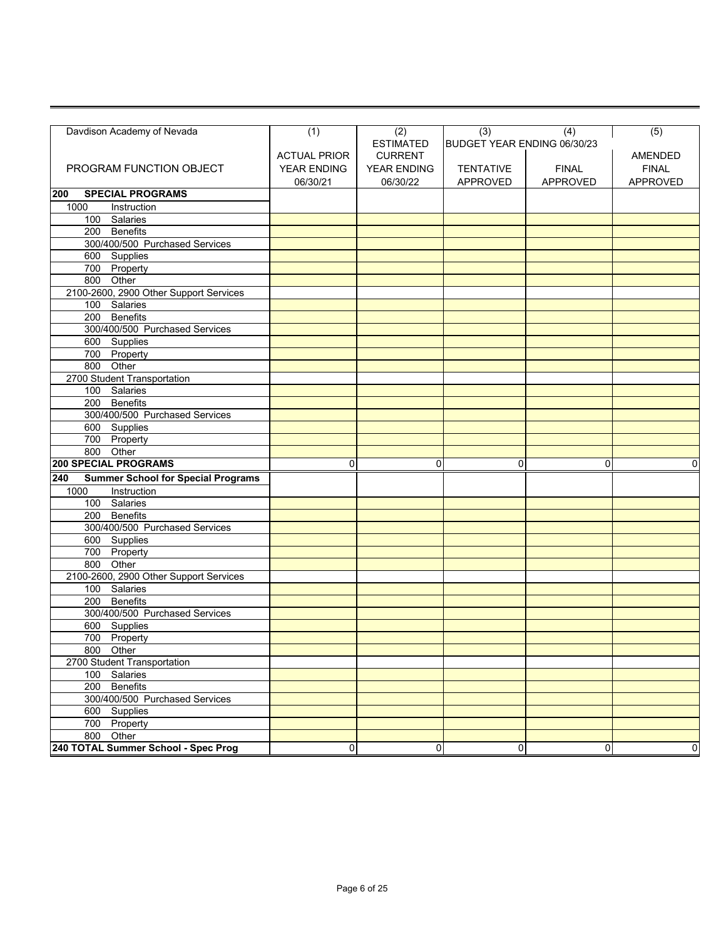| Davdison Academy of Nevada                       | (1)                 | (2)              | (3)                         | (4)          | (5)             |
|--------------------------------------------------|---------------------|------------------|-----------------------------|--------------|-----------------|
|                                                  |                     | <b>ESTIMATED</b> | BUDGET YEAR ENDING 06/30/23 |              |                 |
|                                                  | <b>ACTUAL PRIOR</b> | <b>CURRENT</b>   |                             |              | <b>AMENDED</b>  |
| PROGRAM FUNCTION OBJECT                          | YEAR ENDING         | YEAR ENDING      | <b>TENTATIVE</b>            | <b>FINAL</b> | <b>FINAL</b>    |
|                                                  | 06/30/21            | 06/30/22         | APPROVED                    | APPROVED     | <b>APPROVED</b> |
| <b>SPECIAL PROGRAMS</b><br>200                   |                     |                  |                             |              |                 |
| 1000<br>Instruction                              |                     |                  |                             |              |                 |
| 100 Salaries                                     |                     |                  |                             |              |                 |
| 200 Benefits                                     |                     |                  |                             |              |                 |
| 300/400/500 Purchased Services                   |                     |                  |                             |              |                 |
| 600 Supplies                                     |                     |                  |                             |              |                 |
| 700 Property                                     |                     |                  |                             |              |                 |
| 800 Other                                        |                     |                  |                             |              |                 |
| 2100-2600, 2900 Other Support Services           |                     |                  |                             |              |                 |
| 100 Salaries                                     |                     |                  |                             |              |                 |
| <b>Benefits</b><br>200                           |                     |                  |                             |              |                 |
| 300/400/500 Purchased Services                   |                     |                  |                             |              |                 |
| 600 Supplies                                     |                     |                  |                             |              |                 |
| 700 Property                                     |                     |                  |                             |              |                 |
| 800 Other                                        |                     |                  |                             |              |                 |
| 2700 Student Transportation                      |                     |                  |                             |              |                 |
| 100 Salaries                                     |                     |                  |                             |              |                 |
| 200 Benefits                                     |                     |                  |                             |              |                 |
| 300/400/500 Purchased Services                   |                     |                  |                             |              |                 |
| 600 Supplies                                     |                     |                  |                             |              |                 |
| 700 Property                                     |                     |                  |                             |              |                 |
| 800 Other                                        |                     |                  |                             |              |                 |
| <b>200 SPECIAL PROGRAMS</b>                      | 0                   | 0                | 0                           | 0            | 0               |
| <b>Summer School for Special Programs</b><br>240 |                     |                  |                             |              |                 |
| 1000<br>Instruction                              |                     |                  |                             |              |                 |
| 100 Salaries                                     |                     |                  |                             |              |                 |
| 200 Benefits                                     |                     |                  |                             |              |                 |
| 300/400/500 Purchased Services                   |                     |                  |                             |              |                 |
| 600 Supplies                                     |                     |                  |                             |              |                 |
| 700 Property                                     |                     |                  |                             |              |                 |
| 800 Other                                        |                     |                  |                             |              |                 |
| 2100-2600, 2900 Other Support Services           |                     |                  |                             |              |                 |
| 100 Salaries                                     |                     |                  |                             |              |                 |
| 200<br><b>Benefits</b>                           |                     |                  |                             |              |                 |
| 300/400/500 Purchased Services                   |                     |                  |                             |              |                 |
| 600 Supplies                                     |                     |                  |                             |              |                 |
| 700 Property                                     |                     |                  |                             |              |                 |
| 800 Other                                        |                     |                  |                             |              |                 |
| 2700 Student Transportation                      |                     |                  |                             |              |                 |
| 100 Salaries                                     |                     |                  |                             |              |                 |
| 200 Benefits                                     |                     |                  |                             |              |                 |
| 300/400/500 Purchased Services                   |                     |                  |                             |              |                 |
| 600 Supplies                                     |                     |                  |                             |              |                 |
| 700 Property                                     |                     |                  |                             |              |                 |
| 800 Other                                        |                     |                  |                             |              |                 |
| 240 TOTAL Summer School - Spec Prog              | 0                   | 0                | 0                           | 0            | 0               |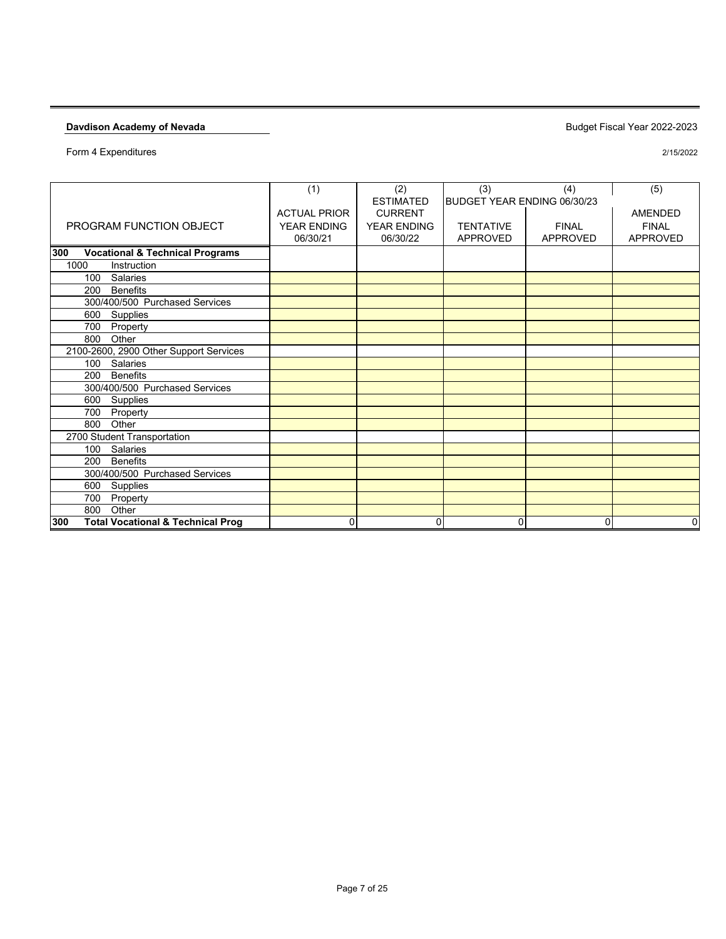|                                                     | (1)                 | (2)                | (3)                         | (4)             | (5)            |
|-----------------------------------------------------|---------------------|--------------------|-----------------------------|-----------------|----------------|
|                                                     |                     | <b>ESTIMATED</b>   | BUDGET YEAR ENDING 06/30/23 |                 |                |
|                                                     | <b>ACTUAL PRIOR</b> | <b>CURRENT</b>     |                             |                 | <b>AMENDED</b> |
| PROGRAM FUNCTION OBJECT                             | <b>YEAR ENDING</b>  | <b>YEAR ENDING</b> | <b>TENTATIVE</b>            | <b>FINAL</b>    | <b>FINAL</b>   |
|                                                     | 06/30/21            | 06/30/22           | APPROVED                    | <b>APPROVED</b> | APPROVED       |
|                                                     |                     |                    |                             |                 |                |
| <b>Vocational &amp; Technical Programs</b><br>300   |                     |                    |                             |                 |                |
| 1000<br>Instruction                                 |                     |                    |                             |                 |                |
| <b>Salaries</b><br>100                              |                     |                    |                             |                 |                |
| <b>Benefits</b><br>200                              |                     |                    |                             |                 |                |
| 300/400/500 Purchased Services                      |                     |                    |                             |                 |                |
| Supplies<br>600                                     |                     |                    |                             |                 |                |
| 700<br>Property                                     |                     |                    |                             |                 |                |
| 800<br>Other                                        |                     |                    |                             |                 |                |
| 2100-2600, 2900 Other Support Services              |                     |                    |                             |                 |                |
| Salaries<br>100                                     |                     |                    |                             |                 |                |
| <b>Benefits</b><br>200                              |                     |                    |                             |                 |                |
| 300/400/500 Purchased Services                      |                     |                    |                             |                 |                |
| Supplies<br>600                                     |                     |                    |                             |                 |                |
| 700<br>Property                                     |                     |                    |                             |                 |                |
| 800<br>Other                                        |                     |                    |                             |                 |                |
| 2700 Student Transportation                         |                     |                    |                             |                 |                |
| Salaries<br>100                                     |                     |                    |                             |                 |                |
| <b>Benefits</b><br>200                              |                     |                    |                             |                 |                |
| 300/400/500 Purchased Services                      |                     |                    |                             |                 |                |
| 600<br>Supplies                                     |                     |                    |                             |                 |                |
| 700<br>Property                                     |                     |                    |                             |                 |                |
| Other<br>800                                        |                     |                    |                             |                 |                |
| <b>Total Vocational &amp; Technical Prog</b><br>300 | 0                   | 0                  | 0                           | 0               | 0              |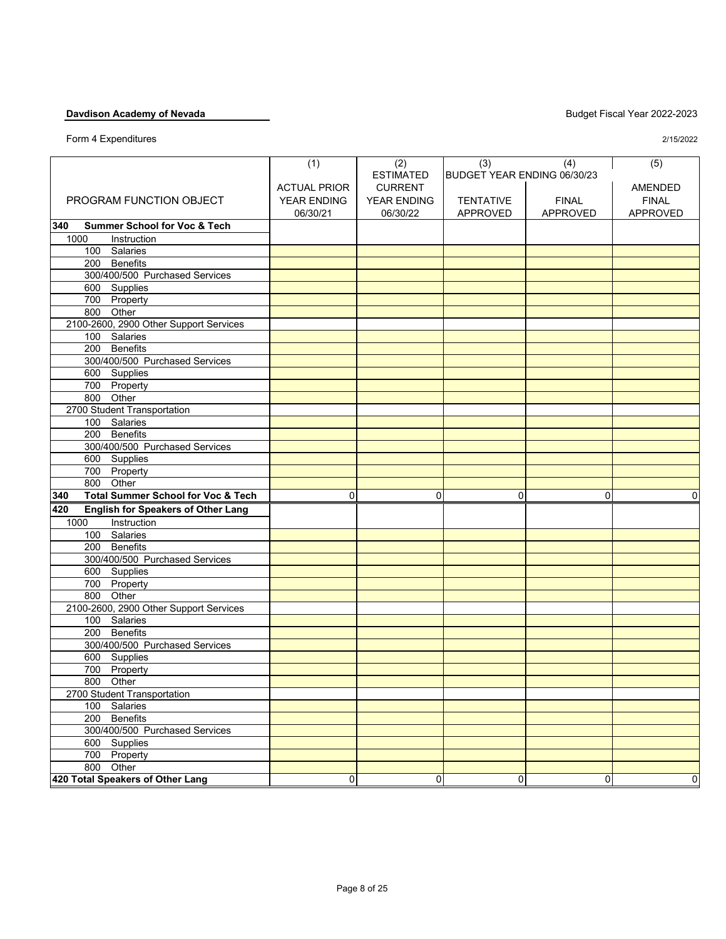|                                                      | (1)                 | (2)              | (3)                         | (4)             | (5)             |
|------------------------------------------------------|---------------------|------------------|-----------------------------|-----------------|-----------------|
|                                                      |                     | <b>ESTIMATED</b> | BUDGET YEAR ENDING 06/30/23 |                 |                 |
|                                                      | <b>ACTUAL PRIOR</b> | <b>CURRENT</b>   |                             |                 | <b>AMENDED</b>  |
| PROGRAM FUNCTION OBJECT                              | YEAR ENDING         | YEAR ENDING      | <b>TENTATIVE</b>            | <b>FINAL</b>    | <b>FINAL</b>    |
|                                                      |                     |                  |                             |                 |                 |
|                                                      | 06/30/21            | 06/30/22         | <b>APPROVED</b>             | <b>APPROVED</b> | <b>APPROVED</b> |
| 340<br><b>Summer School for Voc &amp; Tech</b>       |                     |                  |                             |                 |                 |
| 1000<br>Instruction                                  |                     |                  |                             |                 |                 |
| 100 Salaries                                         |                     |                  |                             |                 |                 |
| 200 Benefits                                         |                     |                  |                             |                 |                 |
| 300/400/500 Purchased Services                       |                     |                  |                             |                 |                 |
| 600 Supplies                                         |                     |                  |                             |                 |                 |
| 700 Property                                         |                     |                  |                             |                 |                 |
| 800 Other                                            |                     |                  |                             |                 |                 |
| 2100-2600, 2900 Other Support Services               |                     |                  |                             |                 |                 |
| 100 Salaries                                         |                     |                  |                             |                 |                 |
| <b>Benefits</b><br>200                               |                     |                  |                             |                 |                 |
| 300/400/500 Purchased Services                       |                     |                  |                             |                 |                 |
| 600 Supplies                                         |                     |                  |                             |                 |                 |
| 700 Property                                         |                     |                  |                             |                 |                 |
| 800 Other                                            |                     |                  |                             |                 |                 |
| 2700 Student Transportation                          |                     |                  |                             |                 |                 |
| 100 Salaries                                         |                     |                  |                             |                 |                 |
| <b>Benefits</b><br>200                               |                     |                  |                             |                 |                 |
| 300/400/500 Purchased Services                       |                     |                  |                             |                 |                 |
| 600 Supplies                                         |                     |                  |                             |                 |                 |
| 700 Property                                         |                     |                  |                             |                 |                 |
| 800 Other                                            |                     |                  |                             |                 |                 |
| 340<br><b>Total Summer School for Voc &amp; Tech</b> | 0                   | 0                | 0                           | $\mathbf 0$     | 0               |
| <b>English for Speakers of Other Lang</b><br>420     |                     |                  |                             |                 |                 |
| 1000<br>Instruction                                  |                     |                  |                             |                 |                 |
| 100 Salaries                                         |                     |                  |                             |                 |                 |
| 200 Benefits                                         |                     |                  |                             |                 |                 |
| 300/400/500 Purchased Services                       |                     |                  |                             |                 |                 |
| 600 Supplies                                         |                     |                  |                             |                 |                 |
| 700 Property                                         |                     |                  |                             |                 |                 |
| 800 Other                                            |                     |                  |                             |                 |                 |
| 2100-2600, 2900 Other Support Services               |                     |                  |                             |                 |                 |
| 100 Salaries                                         |                     |                  |                             |                 |                 |
| 200<br><b>Benefits</b>                               |                     |                  |                             |                 |                 |
| 300/400/500 Purchased Services                       |                     |                  |                             |                 |                 |
| 600 Supplies                                         |                     |                  |                             |                 |                 |
| 700 Property                                         |                     |                  |                             |                 |                 |
| 800 Other                                            |                     |                  |                             |                 |                 |
| 2700 Student Transportation                          |                     |                  |                             |                 |                 |
| 100 Salaries                                         |                     |                  |                             |                 |                 |
| 200 Benefits                                         |                     |                  |                             |                 |                 |
| 300/400/500 Purchased Services                       |                     |                  |                             |                 |                 |
| 600 Supplies                                         |                     |                  |                             |                 |                 |
| 700 Property                                         |                     |                  |                             |                 |                 |
| 800 Other                                            |                     |                  |                             |                 |                 |
| 420 Total Speakers of Other Lang                     | 0                   | 0                | $\overline{0}$              | $\mathbf 0$     | $\overline{0}$  |
|                                                      |                     |                  |                             |                 |                 |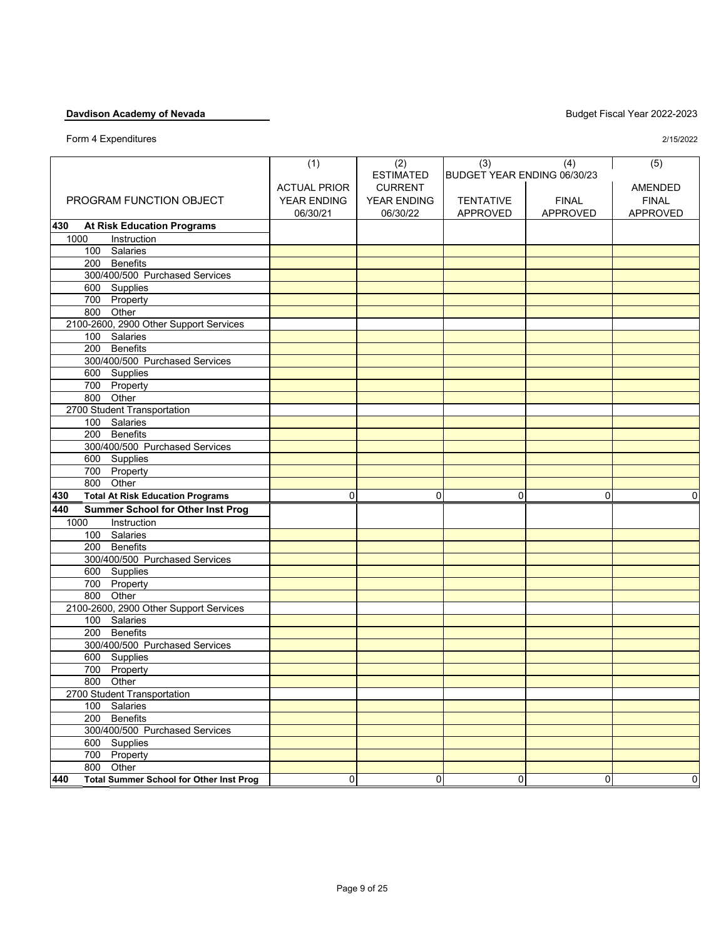|                                                       | (1)                 | (2)                | (3)                         | (4)             | (5)             |
|-------------------------------------------------------|---------------------|--------------------|-----------------------------|-----------------|-----------------|
|                                                       |                     | <b>ESTIMATED</b>   | BUDGET YEAR ENDING 06/30/23 |                 |                 |
|                                                       | <b>ACTUAL PRIOR</b> | <b>CURRENT</b>     |                             |                 | AMENDED         |
| PROGRAM FUNCTION OBJECT                               | YEAR ENDING         | <b>YEAR ENDING</b> | <b>TENTATIVE</b>            | <b>FINAL</b>    | <b>FINAL</b>    |
|                                                       | 06/30/21            | 06/30/22           | <b>APPROVED</b>             | <b>APPROVED</b> | <b>APPROVED</b> |
| 430<br><b>At Risk Education Programs</b>              |                     |                    |                             |                 |                 |
| 1000<br>Instruction                                   |                     |                    |                             |                 |                 |
| 100 Salaries                                          |                     |                    |                             |                 |                 |
| <b>Benefits</b><br>200                                |                     |                    |                             |                 |                 |
| 300/400/500 Purchased Services                        |                     |                    |                             |                 |                 |
| 600 Supplies                                          |                     |                    |                             |                 |                 |
| 700 Property                                          |                     |                    |                             |                 |                 |
| Other<br>800                                          |                     |                    |                             |                 |                 |
| 2100-2600, 2900 Other Support Services                |                     |                    |                             |                 |                 |
| 100 Salaries                                          |                     |                    |                             |                 |                 |
| <b>Benefits</b><br>200                                |                     |                    |                             |                 |                 |
| 300/400/500 Purchased Services                        |                     |                    |                             |                 |                 |
| 600 Supplies                                          |                     |                    |                             |                 |                 |
| 700 Property                                          |                     |                    |                             |                 |                 |
| Other<br>800                                          |                     |                    |                             |                 |                 |
| 2700 Student Transportation                           |                     |                    |                             |                 |                 |
| 100 Salaries                                          |                     |                    |                             |                 |                 |
| <b>Benefits</b><br>200                                |                     |                    |                             |                 |                 |
| 300/400/500 Purchased Services                        |                     |                    |                             |                 |                 |
| 600 Supplies                                          |                     |                    |                             |                 |                 |
| 700 Property                                          |                     |                    |                             |                 |                 |
| Other<br>800                                          |                     |                    |                             |                 |                 |
| 430<br><b>Total At Risk Education Programs</b>        | $\mathbf 0$         | 0                  | 0                           | $\mathbf 0$     | 0               |
| <b>Summer School for Other Inst Prog</b><br>440       |                     |                    |                             |                 |                 |
| Instruction<br>1000                                   |                     |                    |                             |                 |                 |
| 100 Salaries                                          |                     |                    |                             |                 |                 |
| 200 Benefits                                          |                     |                    |                             |                 |                 |
| 300/400/500 Purchased Services                        |                     |                    |                             |                 |                 |
| 600 Supplies                                          |                     |                    |                             |                 |                 |
| 700<br>Property                                       |                     |                    |                             |                 |                 |
| Other<br>800                                          |                     |                    |                             |                 |                 |
| 2100-2600, 2900 Other Support Services                |                     |                    |                             |                 |                 |
| 100 Salaries                                          |                     |                    |                             |                 |                 |
| <b>Benefits</b><br>200                                |                     |                    |                             |                 |                 |
| 300/400/500 Purchased Services                        |                     |                    |                             |                 |                 |
| 600 Supplies                                          |                     |                    |                             |                 |                 |
| 700 Property                                          |                     |                    |                             |                 |                 |
| 800<br>Other                                          |                     |                    |                             |                 |                 |
| 2700 Student Transportation                           |                     |                    |                             |                 |                 |
| 100 Salaries                                          |                     |                    |                             |                 |                 |
| 200 Benefits                                          |                     |                    |                             |                 |                 |
| 300/400/500 Purchased Services                        |                     |                    |                             |                 |                 |
| 600 Supplies                                          |                     |                    |                             |                 |                 |
| 700 Property                                          |                     |                    |                             |                 |                 |
| 800 Other                                             |                     |                    |                             |                 |                 |
| <b>Total Summer School for Other Inst Prog</b><br>440 | 0                   | 0                  | 0                           | 0               | 0               |
|                                                       |                     |                    |                             |                 |                 |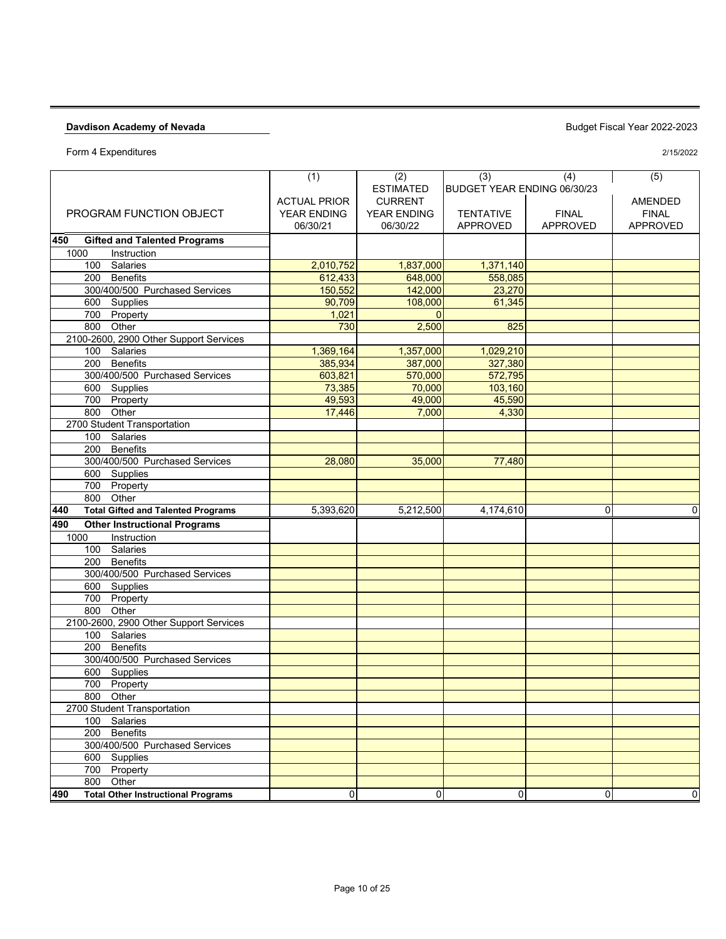Form 4 Expenditures

|                                                  | (1)                     | (2)                                | (3)                                 | (4)                             | (5)                             |
|--------------------------------------------------|-------------------------|------------------------------------|-------------------------------------|---------------------------------|---------------------------------|
|                                                  |                         | <b>ESTIMATED</b><br><b>CURRENT</b> | BUDGET YEAR ENDING 06/30/23         |                                 |                                 |
|                                                  | <b>ACTUAL PRIOR</b>     |                                    |                                     |                                 | AMENDED                         |
| PROGRAM FUNCTION OBJECT                          | YEAR ENDING<br>06/30/21 | YEAR ENDING<br>06/30/22            | <b>TENTATIVE</b><br><b>APPROVED</b> | <b>FINAL</b><br><b>APPROVED</b> | <b>FINAL</b><br><b>APPROVED</b> |
|                                                  |                         |                                    |                                     |                                 |                                 |
| 450<br><b>Gifted and Talented Programs</b>       |                         |                                    |                                     |                                 |                                 |
| Instruction<br>1000                              |                         |                                    |                                     |                                 |                                 |
| Salaries<br>100                                  | 2,010,752               | 1,837,000                          | 1,371,140                           |                                 |                                 |
| 200 Benefits                                     | 612,433                 | 648,000                            | 558,085                             |                                 |                                 |
| 300/400/500 Purchased Services                   | 150,552<br>90,709       | 142,000                            | 23,270                              |                                 |                                 |
| 600 Supplies                                     |                         | 108,000                            | 61,345                              |                                 |                                 |
| 700 Property<br>Other<br>800                     | 1,021<br>730            | $\overline{0}$<br>2,500            | 825                                 |                                 |                                 |
| 2100-2600, 2900 Other Support Services           |                         |                                    |                                     |                                 |                                 |
| 100 Salaries                                     | 1,369,164               | 1,357,000                          | 1,029,210                           |                                 |                                 |
| 200 Benefits                                     | 385,934                 | 387,000                            | 327,380                             |                                 |                                 |
| 300/400/500 Purchased Services                   | 603,821                 | 570,000                            | 572,795                             |                                 |                                 |
| 600 Supplies                                     | 73,385                  | 70,000                             | 103,160                             |                                 |                                 |
| 700 Property                                     | 49,593                  | 49,000                             | 45,590                              |                                 |                                 |
| 800 Other                                        | 17,446                  | 7,000                              | 4,330                               |                                 |                                 |
| 2700 Student Transportation                      |                         |                                    |                                     |                                 |                                 |
| 100 Salaries                                     |                         |                                    |                                     |                                 |                                 |
| 200 Benefits                                     |                         |                                    |                                     |                                 |                                 |
| 300/400/500 Purchased Services                   | 28,080                  | 35,000                             | 77,480                              |                                 |                                 |
| 600 Supplies                                     |                         |                                    |                                     |                                 |                                 |
| 700 Property                                     |                         |                                    |                                     |                                 |                                 |
| 800<br>Other                                     |                         |                                    |                                     |                                 |                                 |
| 440<br><b>Total Gifted and Talented Programs</b> | 5,393,620               | 5,212,500                          | 4.174.610                           | 0                               | $\mathbf 0$                     |
| 490<br><b>Other Instructional Programs</b>       |                         |                                    |                                     |                                 |                                 |
| Instruction<br>1000                              |                         |                                    |                                     |                                 |                                 |
| 100 Salaries                                     |                         |                                    |                                     |                                 |                                 |
| 200 Benefits                                     |                         |                                    |                                     |                                 |                                 |
| 300/400/500 Purchased Services                   |                         |                                    |                                     |                                 |                                 |
| 600 Supplies                                     |                         |                                    |                                     |                                 |                                 |
| 700 Property                                     |                         |                                    |                                     |                                 |                                 |
| Other<br>800                                     |                         |                                    |                                     |                                 |                                 |
| 2100-2600, 2900 Other Support Services           |                         |                                    |                                     |                                 |                                 |
| 100 Salaries                                     |                         |                                    |                                     |                                 |                                 |
| 200 Benefits                                     |                         |                                    |                                     |                                 |                                 |
| 300/400/500 Purchased Services                   |                         |                                    |                                     |                                 |                                 |
| 600 Supplies                                     |                         |                                    |                                     |                                 |                                 |
| 700 Property                                     |                         |                                    |                                     |                                 |                                 |
| 800 Other                                        |                         |                                    |                                     |                                 |                                 |
| 2700 Student Transportation                      |                         |                                    |                                     |                                 |                                 |
| 100 Salaries                                     |                         |                                    |                                     |                                 |                                 |
| 200 Benefits                                     |                         |                                    |                                     |                                 |                                 |
| 300/400/500 Purchased Services                   |                         |                                    |                                     |                                 |                                 |
| 600 Supplies                                     |                         |                                    |                                     |                                 |                                 |
| 700 Property                                     |                         |                                    |                                     |                                 |                                 |
| 800 Other                                        |                         |                                    |                                     |                                 |                                 |
| <b>Total Other Instructional Programs</b><br>490 | 0                       | 0                                  | 0                                   | 0                               | 0                               |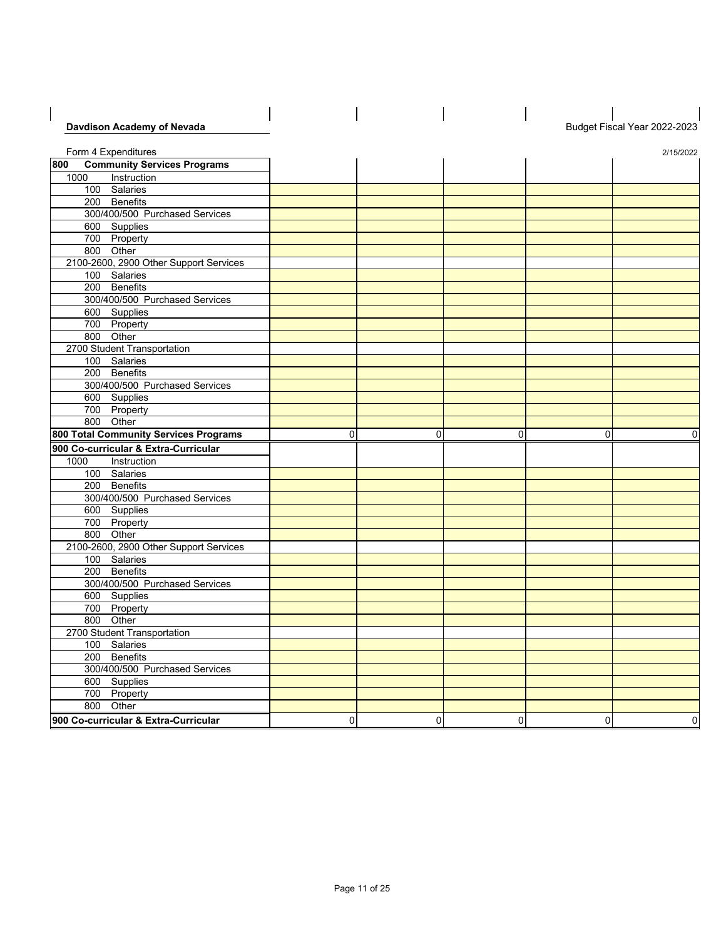| Davdison Academy of Nevada                                                                                      |   |             |           |   | Budget Fiscal Year 2022-2023 |
|-----------------------------------------------------------------------------------------------------------------|---|-------------|-----------|---|------------------------------|
|                                                                                                                 |   |             |           |   |                              |
| Form 4 Expenditures                                                                                             |   |             |           |   | 2/15/2022                    |
| <b>Community Services Programs</b><br>800                                                                       |   |             |           |   |                              |
| 1000<br>Instruction                                                                                             |   |             |           |   |                              |
| 100 Salaries                                                                                                    |   |             |           |   |                              |
| 200 Benefits                                                                                                    |   |             |           |   |                              |
| 300/400/500 Purchased Services                                                                                  |   |             |           |   |                              |
| 600 Supplies                                                                                                    |   |             |           |   |                              |
| 700 Property                                                                                                    |   |             |           |   |                              |
| 800 Other                                                                                                       |   |             |           |   |                              |
| 2100-2600, 2900 Other Support Services                                                                          |   |             |           |   |                              |
| 100 Salaries                                                                                                    |   |             |           |   |                              |
| 200 Benefits                                                                                                    |   |             |           |   |                              |
| 300/400/500 Purchased Services                                                                                  |   |             |           |   |                              |
| 600 Supplies                                                                                                    |   |             |           |   |                              |
| 700 Property                                                                                                    |   |             |           |   |                              |
| 800 Other                                                                                                       |   |             |           |   |                              |
| 2700 Student Transportation                                                                                     |   |             |           |   |                              |
| 100 Salaries                                                                                                    |   |             |           |   |                              |
| 200 Benefits                                                                                                    |   |             |           |   |                              |
| 300/400/500 Purchased Services                                                                                  |   |             |           |   |                              |
| 600 Supplies                                                                                                    |   |             |           |   |                              |
| 700 Property                                                                                                    |   |             |           |   |                              |
| 800 Other                                                                                                       |   |             |           |   |                              |
|                                                                                                                 |   |             |           |   |                              |
|                                                                                                                 | 0 | 0           | 0         | 0 | $\Omega$                     |
|                                                                                                                 |   |             |           |   |                              |
|                                                                                                                 |   |             |           |   |                              |
| 1000<br>Instruction                                                                                             |   |             |           |   |                              |
| 100 Salaries                                                                                                    |   |             |           |   |                              |
| 200 Benefits                                                                                                    |   |             |           |   |                              |
| 800 Total Community Services Programs<br>900 Co-curricular & Extra-Curricular<br>300/400/500 Purchased Services |   |             |           |   |                              |
| 600 Supplies                                                                                                    |   |             |           |   |                              |
| 700 Property                                                                                                    |   |             |           |   |                              |
| 800 Other                                                                                                       |   |             |           |   |                              |
| 2100-2600, 2900 Other Support Services                                                                          |   |             |           |   |                              |
| 100 Salaries                                                                                                    |   |             |           |   |                              |
| 200 Benefits                                                                                                    |   |             |           |   |                              |
| 300/400/500 Purchased Services                                                                                  |   |             |           |   |                              |
| 600 Supplies                                                                                                    |   |             |           |   |                              |
| 700 Property                                                                                                    |   |             |           |   |                              |
| 800 Other                                                                                                       |   |             |           |   |                              |
| 2700 Student Transportation                                                                                     |   |             |           |   |                              |
| 100 Salaries                                                                                                    |   |             |           |   |                              |
| 200 Benefits                                                                                                    |   |             |           |   |                              |
| 300/400/500 Purchased Services                                                                                  |   |             |           |   |                              |
| 600 Supplies                                                                                                    |   |             |           |   |                              |
| 700 Property                                                                                                    |   |             |           |   |                              |
| 800 Other<br>900 Co-curricular & Extra-Curricular                                                               | 0 | $\mathbf 0$ | $\pmb{0}$ | 0 | $\pmb{0}$                    |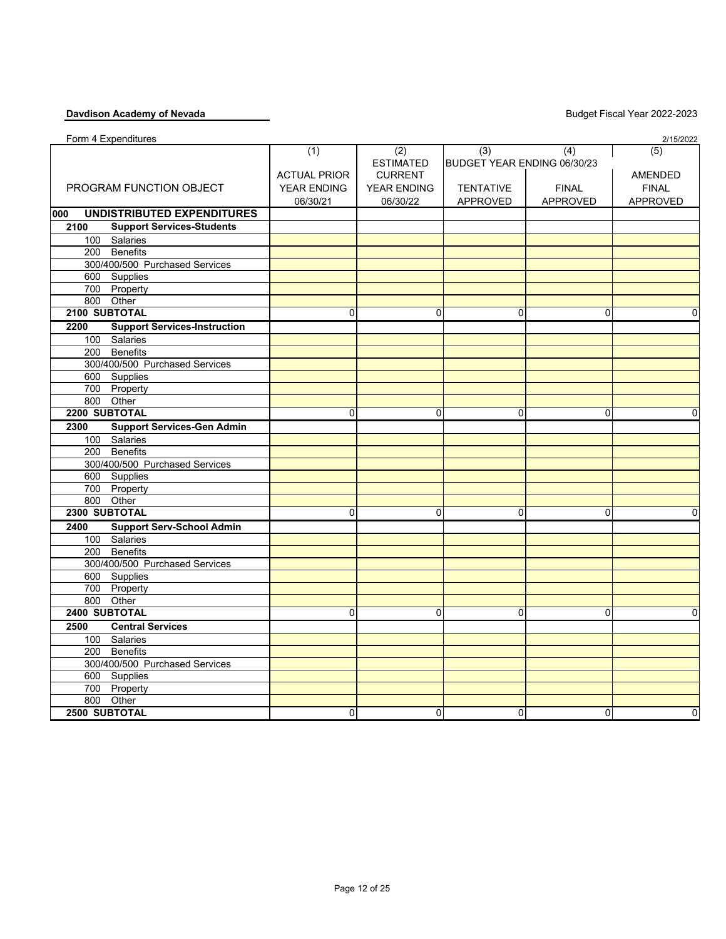| Form 4 Expenditures                         |                     |                    |                             |                 | 2/15/2022    |
|---------------------------------------------|---------------------|--------------------|-----------------------------|-----------------|--------------|
|                                             | (1)                 | (2)                | (3)                         | (4)             | (5)          |
|                                             |                     | <b>ESTIMATED</b>   | BUDGET YEAR ENDING 06/30/23 |                 |              |
|                                             | <b>ACTUAL PRIOR</b> | <b>CURRENT</b>     |                             |                 | AMENDED      |
| PROGRAM FUNCTION OBJECT                     | <b>YEAR ENDING</b>  | <b>YEAR ENDING</b> | <b>TENTATIVE</b>            | <b>FINAL</b>    | <b>FINAL</b> |
|                                             | 06/30/21            | 06/30/22           | APPROVED                    | <b>APPROVED</b> | APPROVED     |
| <b>UNDISTRIBUTED EXPENDITURES</b><br>000    |                     |                    |                             |                 |              |
| <b>Support Services-Students</b><br>2100    |                     |                    |                             |                 |              |
| 100 Salaries                                |                     |                    |                             |                 |              |
| 200 Benefits                                |                     |                    |                             |                 |              |
| 300/400/500 Purchased Services              |                     |                    |                             |                 |              |
| 600 Supplies                                |                     |                    |                             |                 |              |
| 700 Property                                |                     |                    |                             |                 |              |
| 800 Other                                   |                     |                    |                             |                 |              |
| 2100 SUBTOTAL                               | 0                   | $\mathbf{0}$       | $\Omega$                    | $\mathbf{0}$    | 0            |
| <b>Support Services-Instruction</b><br>2200 |                     |                    |                             |                 |              |
| 100 Salaries                                |                     |                    |                             |                 |              |
| 200 Benefits                                |                     |                    |                             |                 |              |
| 300/400/500 Purchased Services              |                     |                    |                             |                 |              |
| 600 Supplies                                |                     |                    |                             |                 |              |
| 700 Property                                |                     |                    |                             |                 |              |
| 800 Other                                   |                     |                    |                             |                 |              |
| 2200 SUBTOTAL                               | 0                   | $\Omega$           | 0                           | 0               | 0            |
| 2300<br><b>Support Services-Gen Admin</b>   |                     |                    |                             |                 |              |
| 100 Salaries                                |                     |                    |                             |                 |              |
| 200 Benefits                                |                     |                    |                             |                 |              |
| 300/400/500 Purchased Services              |                     |                    |                             |                 |              |
| 600 Supplies                                |                     |                    |                             |                 |              |
| 700 Property                                |                     |                    |                             |                 |              |
| 800 Other                                   |                     |                    |                             |                 |              |
| 2300 SUBTOTAL                               | 0                   | 0                  | 0                           | 0               | 0            |
| <b>Support Serv-School Admin</b><br>2400    |                     |                    |                             |                 |              |
| 100 Salaries                                |                     |                    |                             |                 |              |
| 200 Benefits                                |                     |                    |                             |                 |              |
| 300/400/500 Purchased Services              |                     |                    |                             |                 |              |
| 600 Supplies                                |                     |                    |                             |                 |              |
| 700 Property                                |                     |                    |                             |                 |              |
| 800 Other                                   |                     |                    |                             |                 |              |
| 2400 SUBTOTAL                               | 0                   | $\mathbf 0$        | 0                           | $\mathbf 0$     | $\mathbf 0$  |
| 2500<br><b>Central Services</b>             |                     |                    |                             |                 |              |
| 100 Salaries                                |                     |                    |                             |                 |              |
| 200 Benefits                                |                     |                    |                             |                 |              |
| 300/400/500 Purchased Services              |                     |                    |                             |                 |              |
| 600 Supplies                                |                     |                    |                             |                 |              |
| 700 Property                                |                     |                    |                             |                 |              |
| 800 Other                                   |                     |                    |                             |                 |              |
| <b>2500 SUBTOTAL</b>                        | $\mathbf 0$         | $\mathbf 0$        | 0                           | $\mathbf 0$     | 0            |
|                                             |                     |                    |                             |                 |              |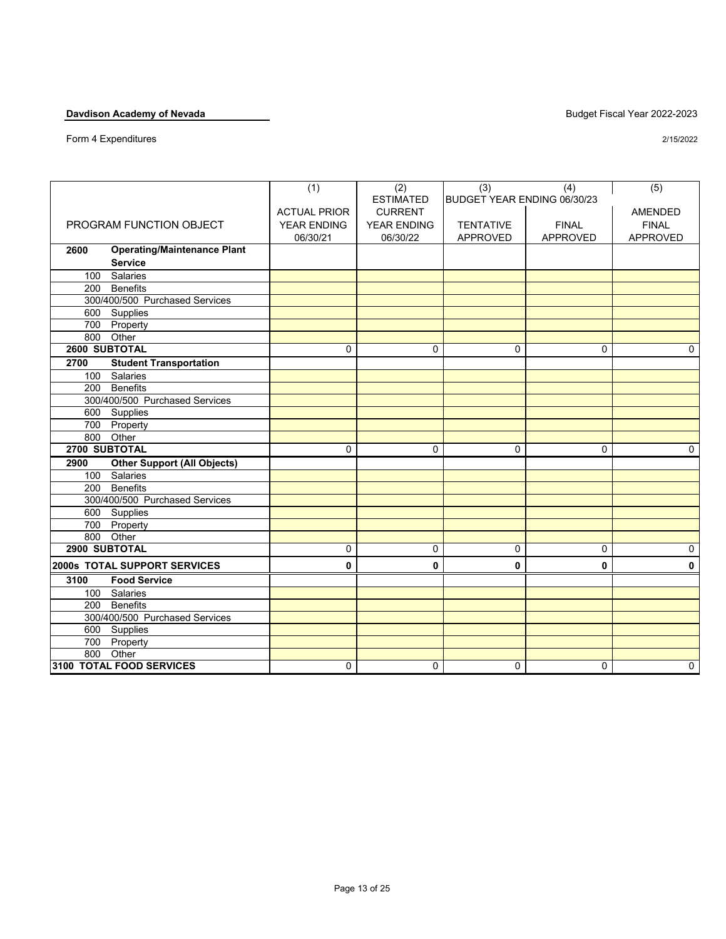Form 4 Expenditures

| 2/15/2022 |
|-----------|
|           |

|                                            | (1)                 | (2)                | (3)                         | (4)             | (5)            |
|--------------------------------------------|---------------------|--------------------|-----------------------------|-----------------|----------------|
|                                            |                     | <b>ESTIMATED</b>   | BUDGET YEAR ENDING 06/30/23 |                 |                |
|                                            | <b>ACTUAL PRIOR</b> | <b>CURRENT</b>     |                             |                 | <b>AMENDED</b> |
| PROGRAM FUNCTION OBJECT                    | <b>YEAR ENDING</b>  | <b>YEAR ENDING</b> | <b>TENTATIVE</b>            | <b>FINAL</b>    | <b>FINAL</b>   |
|                                            | 06/30/21            | 06/30/22           | APPROVED                    | <b>APPROVED</b> | APPROVED       |
| <b>Operating/Maintenance Plant</b><br>2600 |                     |                    |                             |                 |                |
| <b>Service</b>                             |                     |                    |                             |                 |                |
| Salaries<br>100                            |                     |                    |                             |                 |                |
| 200<br><b>Benefits</b>                     |                     |                    |                             |                 |                |
| 300/400/500 Purchased Services             |                     |                    |                             |                 |                |
| 600 Supplies                               |                     |                    |                             |                 |                |
| 700 Property                               |                     |                    |                             |                 |                |
| 800 Other                                  |                     |                    |                             |                 |                |
| 2600 SUBTOTAL                              | $\Omega$            | $\Omega$           | $\Omega$                    | $\Omega$        | $\mathbf{0}$   |
| <b>Student Transportation</b><br>2700      |                     |                    |                             |                 |                |
| 100<br>Salaries                            |                     |                    |                             |                 |                |
| <b>Benefits</b><br>200                     |                     |                    |                             |                 |                |
| 300/400/500 Purchased Services             |                     |                    |                             |                 |                |
| 600 Supplies                               |                     |                    |                             |                 |                |
| 700 Property                               |                     |                    |                             |                 |                |
| 800 Other                                  |                     |                    |                             |                 |                |
| 2700 SUBTOTAL                              | $\mathbf 0$         | $\mathbf 0$        | $\Omega$                    | $\Omega$        | 0              |
| <b>Other Support (All Objects)</b><br>2900 |                     |                    |                             |                 |                |
| 100 Salaries                               |                     |                    |                             |                 |                |
| <b>Benefits</b><br>200                     |                     |                    |                             |                 |                |
| 300/400/500 Purchased Services             |                     |                    |                             |                 |                |
| 600 Supplies                               |                     |                    |                             |                 |                |
| 700 Property                               |                     |                    |                             |                 |                |
| 800 Other                                  |                     |                    |                             |                 |                |
| 2900 SUBTOTAL                              | $\mathbf 0$         | $\mathbf 0$        | $\Omega$                    | $\Omega$        | $\mathbf 0$    |
| 2000s TOTAL SUPPORT SERVICES               | 0                   | 0                  | 0                           | 0               | $\mathbf{0}$   |
| <b>Food Service</b><br>3100                |                     |                    |                             |                 |                |
| <b>Salaries</b><br>100                     |                     |                    |                             |                 |                |
| 200 Benefits                               |                     |                    |                             |                 |                |
| 300/400/500 Purchased Services             |                     |                    |                             |                 |                |
| 600 Supplies                               |                     |                    |                             |                 |                |
| 700 Property                               |                     |                    |                             |                 |                |
| 800 Other                                  |                     |                    |                             |                 |                |
| 3100 TOTAL FOOD SERVICES                   | 0                   | $\mathbf 0$        | $\Omega$                    | $\Omega$        | $\mathbf 0$    |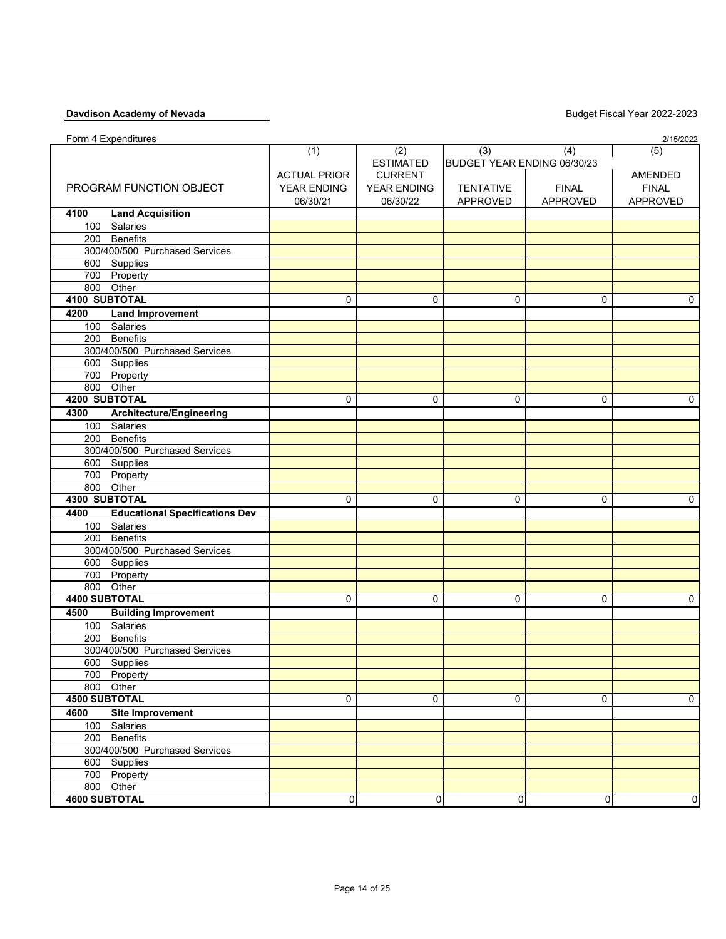| <b>ESTIMATED</b><br>BUDGET YEAR ENDING 06/30/23<br><b>ACTUAL PRIOR</b><br><b>CURRENT</b><br><b>AMENDED</b><br>PROGRAM FUNCTION OBJECT<br><b>FINAL</b><br>YEAR ENDING<br>YEAR ENDING<br><b>TENTATIVE</b><br><b>FINAL</b><br>APPROVED<br>06/30/21<br>06/30/22<br>APPROVED<br><b>APPROVED</b><br><b>Land Acquisition</b><br>4100<br>100 Salaries<br>200 Benefits<br>300/400/500 Purchased Services<br>600 Supplies<br>700 Property<br>800 Other<br>4100 SUBTOTAL<br>$\Omega$<br>$\mathbf 0$<br>$\Omega$<br>$\Omega$<br>0<br>4200<br><b>Land Improvement</b><br>100 Salaries<br>200 Benefits<br>300/400/500 Purchased Services<br>600 Supplies<br>700 Property<br>800 Other<br>4200 SUBTOTAL<br>0<br>$\mathbf 0$<br>$\Omega$<br>$\mathbf{0}$<br>0<br>4300<br>Architecture/Engineering<br>100 Salaries<br>200 Benefits<br>300/400/500 Purchased Services<br>600 Supplies<br>700 Property<br>800 Other<br>4300 SUBTOTAL<br>0<br>0<br>$\Omega$<br>0<br>$\Omega$<br>4400<br><b>Educational Specifications Dev</b><br>100 Salaries<br>200 Benefits<br>300/400/500 Purchased Services<br>600 Supplies<br>700 Property<br>800 Other<br>4400 SUBTOTAL<br>$\mathbf 0$<br>0<br>0<br>$\Omega$<br>$\Omega$<br>4500<br><b>Building Improvement</b><br>100 Salaries<br>200 Benefits<br>300/400/500 Purchased Services<br>600 Supplies<br>700 Property<br>800 Other<br><b>4500 SUBTOTAL</b><br>0<br>0<br>0<br>0<br>0<br>4600<br><b>Site Improvement</b><br>100 Salaries<br>200 Benefits | Form 4 Expenditures            |     |     |     |     | 2/15/2022 |
|----------------------------------------------------------------------------------------------------------------------------------------------------------------------------------------------------------------------------------------------------------------------------------------------------------------------------------------------------------------------------------------------------------------------------------------------------------------------------------------------------------------------------------------------------------------------------------------------------------------------------------------------------------------------------------------------------------------------------------------------------------------------------------------------------------------------------------------------------------------------------------------------------------------------------------------------------------------------------------------------------------------------------------------------------------------------------------------------------------------------------------------------------------------------------------------------------------------------------------------------------------------------------------------------------------------------------------------------------------------------------------------------------------------------------------------------------------------------|--------------------------------|-----|-----|-----|-----|-----------|
|                                                                                                                                                                                                                                                                                                                                                                                                                                                                                                                                                                                                                                                                                                                                                                                                                                                                                                                                                                                                                                                                                                                                                                                                                                                                                                                                                                                                                                                                      |                                | (1) | (2) | (3) | (4) | (5)       |
|                                                                                                                                                                                                                                                                                                                                                                                                                                                                                                                                                                                                                                                                                                                                                                                                                                                                                                                                                                                                                                                                                                                                                                                                                                                                                                                                                                                                                                                                      |                                |     |     |     |     |           |
|                                                                                                                                                                                                                                                                                                                                                                                                                                                                                                                                                                                                                                                                                                                                                                                                                                                                                                                                                                                                                                                                                                                                                                                                                                                                                                                                                                                                                                                                      |                                |     |     |     |     |           |
|                                                                                                                                                                                                                                                                                                                                                                                                                                                                                                                                                                                                                                                                                                                                                                                                                                                                                                                                                                                                                                                                                                                                                                                                                                                                                                                                                                                                                                                                      |                                |     |     |     |     |           |
|                                                                                                                                                                                                                                                                                                                                                                                                                                                                                                                                                                                                                                                                                                                                                                                                                                                                                                                                                                                                                                                                                                                                                                                                                                                                                                                                                                                                                                                                      |                                |     |     |     |     |           |
|                                                                                                                                                                                                                                                                                                                                                                                                                                                                                                                                                                                                                                                                                                                                                                                                                                                                                                                                                                                                                                                                                                                                                                                                                                                                                                                                                                                                                                                                      |                                |     |     |     |     |           |
|                                                                                                                                                                                                                                                                                                                                                                                                                                                                                                                                                                                                                                                                                                                                                                                                                                                                                                                                                                                                                                                                                                                                                                                                                                                                                                                                                                                                                                                                      |                                |     |     |     |     |           |
|                                                                                                                                                                                                                                                                                                                                                                                                                                                                                                                                                                                                                                                                                                                                                                                                                                                                                                                                                                                                                                                                                                                                                                                                                                                                                                                                                                                                                                                                      |                                |     |     |     |     |           |
|                                                                                                                                                                                                                                                                                                                                                                                                                                                                                                                                                                                                                                                                                                                                                                                                                                                                                                                                                                                                                                                                                                                                                                                                                                                                                                                                                                                                                                                                      |                                |     |     |     |     |           |
|                                                                                                                                                                                                                                                                                                                                                                                                                                                                                                                                                                                                                                                                                                                                                                                                                                                                                                                                                                                                                                                                                                                                                                                                                                                                                                                                                                                                                                                                      |                                |     |     |     |     |           |
|                                                                                                                                                                                                                                                                                                                                                                                                                                                                                                                                                                                                                                                                                                                                                                                                                                                                                                                                                                                                                                                                                                                                                                                                                                                                                                                                                                                                                                                                      |                                |     |     |     |     |           |
|                                                                                                                                                                                                                                                                                                                                                                                                                                                                                                                                                                                                                                                                                                                                                                                                                                                                                                                                                                                                                                                                                                                                                                                                                                                                                                                                                                                                                                                                      |                                |     |     |     |     |           |
|                                                                                                                                                                                                                                                                                                                                                                                                                                                                                                                                                                                                                                                                                                                                                                                                                                                                                                                                                                                                                                                                                                                                                                                                                                                                                                                                                                                                                                                                      |                                |     |     |     |     |           |
|                                                                                                                                                                                                                                                                                                                                                                                                                                                                                                                                                                                                                                                                                                                                                                                                                                                                                                                                                                                                                                                                                                                                                                                                                                                                                                                                                                                                                                                                      |                                |     |     |     |     |           |
|                                                                                                                                                                                                                                                                                                                                                                                                                                                                                                                                                                                                                                                                                                                                                                                                                                                                                                                                                                                                                                                                                                                                                                                                                                                                                                                                                                                                                                                                      |                                |     |     |     |     |           |
|                                                                                                                                                                                                                                                                                                                                                                                                                                                                                                                                                                                                                                                                                                                                                                                                                                                                                                                                                                                                                                                                                                                                                                                                                                                                                                                                                                                                                                                                      |                                |     |     |     |     |           |
|                                                                                                                                                                                                                                                                                                                                                                                                                                                                                                                                                                                                                                                                                                                                                                                                                                                                                                                                                                                                                                                                                                                                                                                                                                                                                                                                                                                                                                                                      |                                |     |     |     |     |           |
|                                                                                                                                                                                                                                                                                                                                                                                                                                                                                                                                                                                                                                                                                                                                                                                                                                                                                                                                                                                                                                                                                                                                                                                                                                                                                                                                                                                                                                                                      |                                |     |     |     |     |           |
|                                                                                                                                                                                                                                                                                                                                                                                                                                                                                                                                                                                                                                                                                                                                                                                                                                                                                                                                                                                                                                                                                                                                                                                                                                                                                                                                                                                                                                                                      |                                |     |     |     |     |           |
|                                                                                                                                                                                                                                                                                                                                                                                                                                                                                                                                                                                                                                                                                                                                                                                                                                                                                                                                                                                                                                                                                                                                                                                                                                                                                                                                                                                                                                                                      |                                |     |     |     |     |           |
|                                                                                                                                                                                                                                                                                                                                                                                                                                                                                                                                                                                                                                                                                                                                                                                                                                                                                                                                                                                                                                                                                                                                                                                                                                                                                                                                                                                                                                                                      |                                |     |     |     |     |           |
|                                                                                                                                                                                                                                                                                                                                                                                                                                                                                                                                                                                                                                                                                                                                                                                                                                                                                                                                                                                                                                                                                                                                                                                                                                                                                                                                                                                                                                                                      |                                |     |     |     |     |           |
|                                                                                                                                                                                                                                                                                                                                                                                                                                                                                                                                                                                                                                                                                                                                                                                                                                                                                                                                                                                                                                                                                                                                                                                                                                                                                                                                                                                                                                                                      |                                |     |     |     |     |           |
|                                                                                                                                                                                                                                                                                                                                                                                                                                                                                                                                                                                                                                                                                                                                                                                                                                                                                                                                                                                                                                                                                                                                                                                                                                                                                                                                                                                                                                                                      |                                |     |     |     |     |           |
|                                                                                                                                                                                                                                                                                                                                                                                                                                                                                                                                                                                                                                                                                                                                                                                                                                                                                                                                                                                                                                                                                                                                                                                                                                                                                                                                                                                                                                                                      |                                |     |     |     |     |           |
|                                                                                                                                                                                                                                                                                                                                                                                                                                                                                                                                                                                                                                                                                                                                                                                                                                                                                                                                                                                                                                                                                                                                                                                                                                                                                                                                                                                                                                                                      |                                |     |     |     |     |           |
|                                                                                                                                                                                                                                                                                                                                                                                                                                                                                                                                                                                                                                                                                                                                                                                                                                                                                                                                                                                                                                                                                                                                                                                                                                                                                                                                                                                                                                                                      |                                |     |     |     |     |           |
|                                                                                                                                                                                                                                                                                                                                                                                                                                                                                                                                                                                                                                                                                                                                                                                                                                                                                                                                                                                                                                                                                                                                                                                                                                                                                                                                                                                                                                                                      |                                |     |     |     |     |           |
|                                                                                                                                                                                                                                                                                                                                                                                                                                                                                                                                                                                                                                                                                                                                                                                                                                                                                                                                                                                                                                                                                                                                                                                                                                                                                                                                                                                                                                                                      |                                |     |     |     |     |           |
|                                                                                                                                                                                                                                                                                                                                                                                                                                                                                                                                                                                                                                                                                                                                                                                                                                                                                                                                                                                                                                                                                                                                                                                                                                                                                                                                                                                                                                                                      |                                |     |     |     |     |           |
|                                                                                                                                                                                                                                                                                                                                                                                                                                                                                                                                                                                                                                                                                                                                                                                                                                                                                                                                                                                                                                                                                                                                                                                                                                                                                                                                                                                                                                                                      |                                |     |     |     |     |           |
|                                                                                                                                                                                                                                                                                                                                                                                                                                                                                                                                                                                                                                                                                                                                                                                                                                                                                                                                                                                                                                                                                                                                                                                                                                                                                                                                                                                                                                                                      |                                |     |     |     |     |           |
|                                                                                                                                                                                                                                                                                                                                                                                                                                                                                                                                                                                                                                                                                                                                                                                                                                                                                                                                                                                                                                                                                                                                                                                                                                                                                                                                                                                                                                                                      |                                |     |     |     |     |           |
|                                                                                                                                                                                                                                                                                                                                                                                                                                                                                                                                                                                                                                                                                                                                                                                                                                                                                                                                                                                                                                                                                                                                                                                                                                                                                                                                                                                                                                                                      |                                |     |     |     |     |           |
|                                                                                                                                                                                                                                                                                                                                                                                                                                                                                                                                                                                                                                                                                                                                                                                                                                                                                                                                                                                                                                                                                                                                                                                                                                                                                                                                                                                                                                                                      |                                |     |     |     |     |           |
|                                                                                                                                                                                                                                                                                                                                                                                                                                                                                                                                                                                                                                                                                                                                                                                                                                                                                                                                                                                                                                                                                                                                                                                                                                                                                                                                                                                                                                                                      |                                |     |     |     |     |           |
|                                                                                                                                                                                                                                                                                                                                                                                                                                                                                                                                                                                                                                                                                                                                                                                                                                                                                                                                                                                                                                                                                                                                                                                                                                                                                                                                                                                                                                                                      |                                |     |     |     |     |           |
|                                                                                                                                                                                                                                                                                                                                                                                                                                                                                                                                                                                                                                                                                                                                                                                                                                                                                                                                                                                                                                                                                                                                                                                                                                                                                                                                                                                                                                                                      |                                |     |     |     |     |           |
|                                                                                                                                                                                                                                                                                                                                                                                                                                                                                                                                                                                                                                                                                                                                                                                                                                                                                                                                                                                                                                                                                                                                                                                                                                                                                                                                                                                                                                                                      |                                |     |     |     |     |           |
|                                                                                                                                                                                                                                                                                                                                                                                                                                                                                                                                                                                                                                                                                                                                                                                                                                                                                                                                                                                                                                                                                                                                                                                                                                                                                                                                                                                                                                                                      |                                |     |     |     |     |           |
|                                                                                                                                                                                                                                                                                                                                                                                                                                                                                                                                                                                                                                                                                                                                                                                                                                                                                                                                                                                                                                                                                                                                                                                                                                                                                                                                                                                                                                                                      |                                |     |     |     |     |           |
|                                                                                                                                                                                                                                                                                                                                                                                                                                                                                                                                                                                                                                                                                                                                                                                                                                                                                                                                                                                                                                                                                                                                                                                                                                                                                                                                                                                                                                                                      |                                |     |     |     |     |           |
|                                                                                                                                                                                                                                                                                                                                                                                                                                                                                                                                                                                                                                                                                                                                                                                                                                                                                                                                                                                                                                                                                                                                                                                                                                                                                                                                                                                                                                                                      |                                |     |     |     |     |           |
|                                                                                                                                                                                                                                                                                                                                                                                                                                                                                                                                                                                                                                                                                                                                                                                                                                                                                                                                                                                                                                                                                                                                                                                                                                                                                                                                                                                                                                                                      |                                |     |     |     |     |           |
|                                                                                                                                                                                                                                                                                                                                                                                                                                                                                                                                                                                                                                                                                                                                                                                                                                                                                                                                                                                                                                                                                                                                                                                                                                                                                                                                                                                                                                                                      |                                |     |     |     |     |           |
|                                                                                                                                                                                                                                                                                                                                                                                                                                                                                                                                                                                                                                                                                                                                                                                                                                                                                                                                                                                                                                                                                                                                                                                                                                                                                                                                                                                                                                                                      |                                |     |     |     |     |           |
|                                                                                                                                                                                                                                                                                                                                                                                                                                                                                                                                                                                                                                                                                                                                                                                                                                                                                                                                                                                                                                                                                                                                                                                                                                                                                                                                                                                                                                                                      |                                |     |     |     |     |           |
|                                                                                                                                                                                                                                                                                                                                                                                                                                                                                                                                                                                                                                                                                                                                                                                                                                                                                                                                                                                                                                                                                                                                                                                                                                                                                                                                                                                                                                                                      |                                |     |     |     |     |           |
|                                                                                                                                                                                                                                                                                                                                                                                                                                                                                                                                                                                                                                                                                                                                                                                                                                                                                                                                                                                                                                                                                                                                                                                                                                                                                                                                                                                                                                                                      |                                |     |     |     |     |           |
|                                                                                                                                                                                                                                                                                                                                                                                                                                                                                                                                                                                                                                                                                                                                                                                                                                                                                                                                                                                                                                                                                                                                                                                                                                                                                                                                                                                                                                                                      | 300/400/500 Purchased Services |     |     |     |     |           |
| 600 Supplies                                                                                                                                                                                                                                                                                                                                                                                                                                                                                                                                                                                                                                                                                                                                                                                                                                                                                                                                                                                                                                                                                                                                                                                                                                                                                                                                                                                                                                                         |                                |     |     |     |     |           |
| 700 Property                                                                                                                                                                                                                                                                                                                                                                                                                                                                                                                                                                                                                                                                                                                                                                                                                                                                                                                                                                                                                                                                                                                                                                                                                                                                                                                                                                                                                                                         |                                |     |     |     |     |           |
| 800 Other                                                                                                                                                                                                                                                                                                                                                                                                                                                                                                                                                                                                                                                                                                                                                                                                                                                                                                                                                                                                                                                                                                                                                                                                                                                                                                                                                                                                                                                            |                                |     |     |     |     |           |
| <b>4600 SUBTOTAL</b><br>0<br>0<br>0<br>0<br>$\mathbf 0$                                                                                                                                                                                                                                                                                                                                                                                                                                                                                                                                                                                                                                                                                                                                                                                                                                                                                                                                                                                                                                                                                                                                                                                                                                                                                                                                                                                                              |                                |     |     |     |     |           |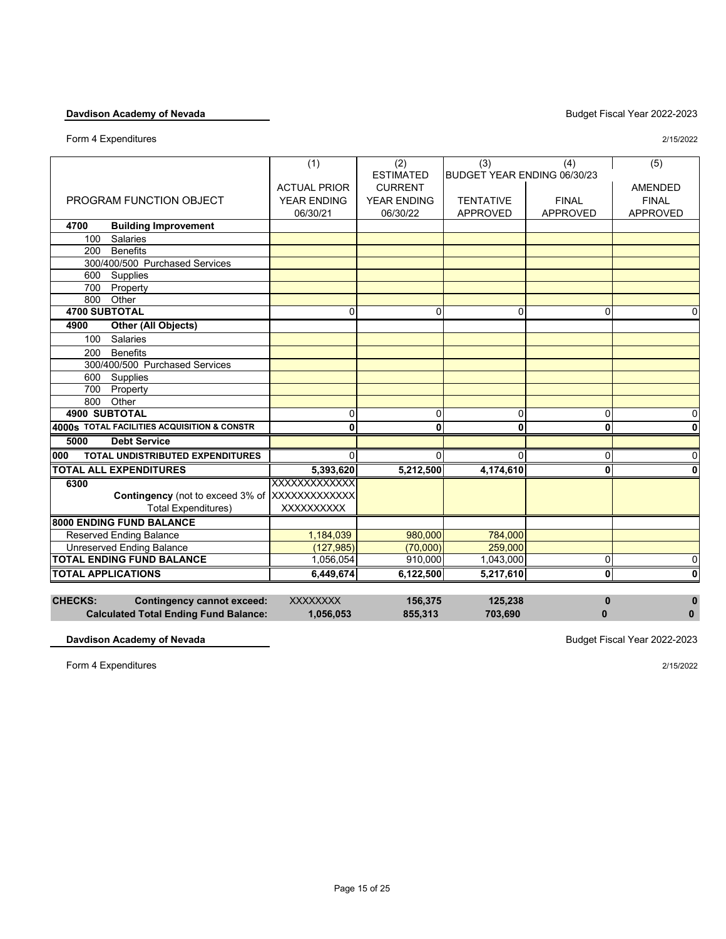Form 4 Expenditures 2/15/2022

|                           |                                               | (1)                 | (2)                | (3)                         | (4)                     | (5)             |
|---------------------------|-----------------------------------------------|---------------------|--------------------|-----------------------------|-------------------------|-----------------|
|                           |                                               |                     | <b>ESTIMATED</b>   | BUDGET YEAR ENDING 06/30/23 |                         |                 |
|                           |                                               | <b>ACTUAL PRIOR</b> | <b>CURRENT</b>     |                             |                         | <b>AMENDED</b>  |
|                           | PROGRAM FUNCTION OBJECT                       | <b>YEAR ENDING</b>  | <b>YEAR ENDING</b> | <b>TENTATIVE</b>            | <b>FINAL</b>            | <b>FINAL</b>    |
|                           |                                               | 06/30/21            | 06/30/22           | <b>APPROVED</b>             | <b>APPROVED</b>         | <b>APPROVED</b> |
| 4700                      | <b>Building Improvement</b>                   |                     |                    |                             |                         |                 |
| 100                       | Salaries                                      |                     |                    |                             |                         |                 |
| 200                       | <b>Benefits</b>                               |                     |                    |                             |                         |                 |
|                           | 300/400/500 Purchased Services                |                     |                    |                             |                         |                 |
| 600                       | Supplies                                      |                     |                    |                             |                         |                 |
| 700                       | Property                                      |                     |                    |                             |                         |                 |
| 800                       | Other                                         |                     |                    |                             |                         |                 |
| <b>4700 SUBTOTAL</b>      |                                               | $\Omega$            | $\mathbf{0}$       | 0                           | $\mathbf{0}$            | $\mathbf{0}$    |
| 4900                      | <b>Other (All Objects)</b>                    |                     |                    |                             |                         |                 |
| 100                       | Salaries                                      |                     |                    |                             |                         |                 |
| 200                       | <b>Benefits</b>                               |                     |                    |                             |                         |                 |
|                           | 300/400/500 Purchased Services                |                     |                    |                             |                         |                 |
| 600                       | Supplies                                      |                     |                    |                             |                         |                 |
| 700                       | Property                                      |                     |                    |                             |                         |                 |
| 800                       | Other                                         |                     |                    |                             |                         |                 |
| <b>4900 SUBTOTAL</b>      |                                               | 0                   | 0                  | 0                           | 0                       | 0               |
|                           | 4000s TOTAL FACILITIES ACQUISITION & CONSTR   | 0                   | 0                  | 0                           | $\overline{\mathbf{0}}$ | 0               |
| 5000                      | <b>Debt Service</b>                           |                     |                    |                             |                         |                 |
| 000                       | <b>TOTAL UNDISTRIBUTED EXPENDITURES</b>       | $\mathbf{0}$        | $\Omega$           | $\Omega$                    | 0                       | $\mathbf 0$     |
|                           | <b>TOTAL ALL EXPENDITURES</b>                 | 5,393,620           | 5,212,500          | 4,174,610                   | $\mathbf{0}$            | 0               |
| 6300                      |                                               | XXXXXXXXXXXX        |                    |                             |                         |                 |
|                           | Contingency (not to exceed 3% of XXXXXXXXXXXX |                     |                    |                             |                         |                 |
|                           | <b>Total Expenditures)</b>                    | <b>XXXXXXXXXX</b>   |                    |                             |                         |                 |
|                           | 8000 ENDING FUND BALANCE                      |                     |                    |                             |                         |                 |
|                           | <b>Reserved Ending Balance</b>                | 1,184,039           | 980,000            | 784,000                     |                         |                 |
|                           | <b>Unreserved Ending Balance</b>              | (127, 985)          | (70,000)           | 259,000                     |                         |                 |
|                           | <b>TOTAL ENDING FUND BALANCE</b>              | 1,056,054           | 910,000            | 1,043,000                   | 0                       | $\mathbf 0$     |
| <b>TOTAL APPLICATIONS</b> |                                               | 6.449.674           | 6.122.500          | 5,217,610                   | $\mathbf 0$             | $\mathbf 0$     |
|                           |                                               |                     |                    |                             |                         |                 |

| <b>CHECKS:</b> | Contingency cannot exceed:                   | <b>XXXXXXXX</b> | 156.375 | 125.238 |  |
|----------------|----------------------------------------------|-----------------|---------|---------|--|
|                | <b>Calculated Total Ending Fund Balance:</b> | 1,056,053       | 855.313 | 703.690 |  |

**Davdison Academy of Nevada** Budget Fiscal Year 2022-2023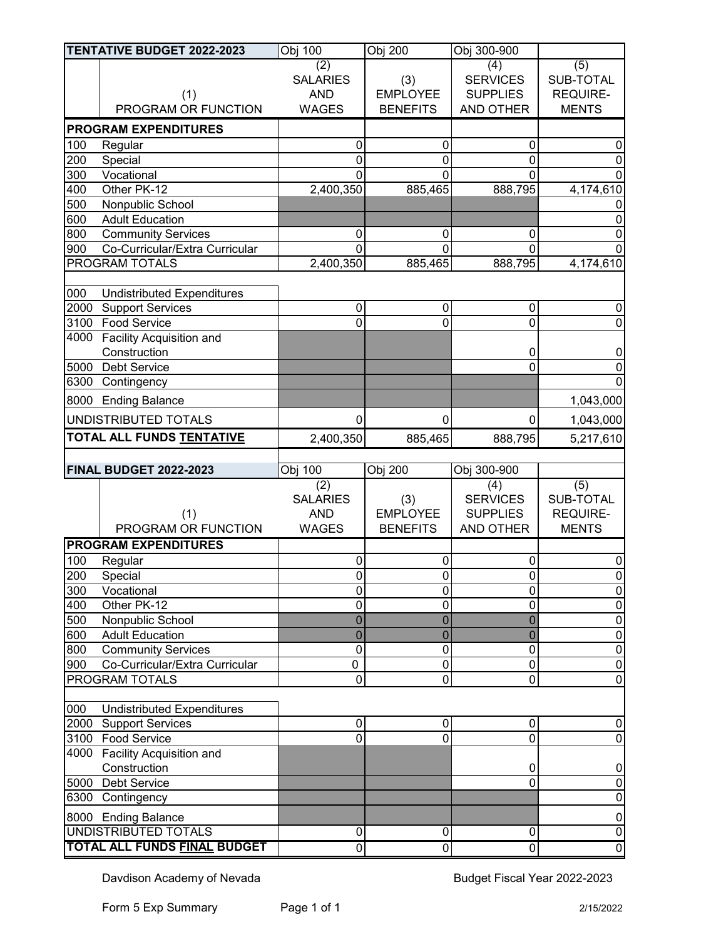|      | <b>TENTATIVE BUDGET 2022-2023</b>           | Obj 100         | Obj 200             | Obj 300-900      |                             |
|------|---------------------------------------------|-----------------|---------------------|------------------|-----------------------------|
|      |                                             | (2)             |                     | (4)              | (5)                         |
|      |                                             | <b>SALARIES</b> | (3)                 | <b>SERVICES</b>  | SUB-TOTAL                   |
|      | (1)                                         | <b>AND</b>      | <b>EMPLOYEE</b>     | <b>SUPPLIES</b>  | <b>REQUIRE-</b>             |
|      | PROGRAM OR FUNCTION                         | <b>WAGES</b>    | <b>BENEFITS</b>     | <b>AND OTHER</b> | <b>MENTS</b>                |
|      | <b>PROGRAM EXPENDITURES</b>                 |                 |                     |                  |                             |
| 100  | Regular                                     | $\mathbf 0$     | $\mathbf 0$         | 0                | 0                           |
| 200  | Special                                     | $\mathbf 0$     | $\mathbf 0$         | $\mathbf 0$      | 0                           |
| 300  | Vocational                                  | $\overline{0}$  | $\Omega$            | $\mathbf 0$      | $\Omega$                    |
| 400  | Other PK-12                                 | 2,400,350       | 885,465             | 888,795          | 4,174,610                   |
| 500  | Nonpublic School                            |                 |                     |                  |                             |
| 600  | <b>Adult Education</b>                      |                 |                     |                  | 0                           |
| 800  | <b>Community Services</b>                   | $\mathbf 0$     | $\mathbf 0$         | $\mathbf 0$      | 0                           |
| 900  | Co-Curricular/Extra Curricular              | $\Omega$        | $\mathbf 0$         | $\Omega$         | $\Omega$                    |
|      | PROGRAM TOTALS                              | 2,400,350       | 885,465             | 888,795          | 4,174,610                   |
|      |                                             |                 |                     |                  |                             |
| 000  | <b>Undistributed Expenditures</b>           |                 |                     |                  |                             |
| 2000 | <b>Support Services</b>                     | $\pmb{0}$       | $\pmb{0}$           | 0                | 0                           |
|      | 3100 Food Service                           | $\overline{0}$  | $\mathbf 0$         | $\mathbf 0$      | $\mathbf 0$                 |
| 4000 | Facility Acquisition and                    |                 |                     |                  |                             |
|      | Construction                                |                 |                     | 0                | 0                           |
| 5000 | <b>Debt Service</b>                         |                 |                     | $\overline{0}$   | $\mathbf 0$                 |
| 6300 | Contingency                                 |                 |                     |                  | $\Omega$                    |
| 8000 | <b>Ending Balance</b>                       |                 |                     |                  | 1,043,000                   |
|      | UNDISTRIBUTED TOTALS                        | 0               | 0                   | 0                | 1,043,000                   |
|      | TOTAL ALL FUNDS TENTATIVE                   | 2,400,350       | 885,465             | 888,795          | 5,217,610                   |
|      |                                             |                 |                     |                  |                             |
|      |                                             |                 |                     |                  |                             |
|      | FINAL BUDGET 2022-2023                      | Obj 100         | Obj 200             | Obj 300-900      |                             |
|      |                                             | (2)             |                     | (4)              | $\overline{(5)}$            |
|      |                                             | <b>SALARIES</b> | (3)                 | <b>SERVICES</b>  | SUB-TOTAL                   |
|      | (1)                                         | <b>AND</b>      | <b>EMPLOYEE</b>     | <b>SUPPLIES</b>  | <b>REQUIRE-</b>             |
|      | PROGRAM OR FUNCTION                         | <b>WAGES</b>    | <b>BENEFITS</b>     | AND OTHER        | <b>MENTS</b>                |
|      | <b>PROGRAM EXPENDITURES</b>                 |                 |                     |                  |                             |
| 100  | Regular                                     | $\mathbf 0$     | $\mathbf 0$         | $\pmb{0}$        | 0                           |
| 200  | Special                                     | 0               | $\mathsf{O}\xspace$ | 0                | $\overline{0}$              |
| 300  | Vocational                                  | $\mathbf 0$     | $\mathbf 0$         | $\mathbf 0$      | $\mathbf 0$                 |
| 400  | Other PK-12                                 | $\mathbf 0$     | 0                   | $\mathbf 0$      | $\pmb{0}$                   |
| 500  | Nonpublic School                            | $\mathbf 0$     | $\mathbf 0$         | $\overline{0}$   | $\boldsymbol{0}$            |
| 600  | <b>Adult Education</b>                      | $\overline{0}$  | $\overline{0}$      | $\overline{0}$   | $\overline{0}$              |
| 800  | <b>Community Services</b>                   | $\mathbf 0$     | 0                   | $\mathbf 0$      | $\pmb{0}$                   |
| 900  | Co-Curricular/Extra Curricular              | 0               | $\pmb{0}$           | $\pmb{0}$        | $\boldsymbol{0}$            |
|      | <b>PROGRAM TOTALS</b>                       | $\mathbf 0$     | $\mathbf 0$         | $\mathbf 0$      | $\mathbf 0$                 |
|      |                                             |                 |                     |                  |                             |
| 000  | <b>Undistributed Expenditures</b>           | 0               | 0                   | 0                | $\mathbf 0$                 |
|      | 2000 Support Services<br>3100 Food Service  | $\mathbf 0$     | $\overline{0}$      | $\mathbf 0$      | $\mathbf 0$                 |
|      | 4000 Facility Acquisition and               |                 |                     |                  |                             |
|      | Construction                                |                 |                     | 0                | 0                           |
|      | 5000 Debt Service                           |                 |                     | $\mathbf 0$      | $\mathbf 0$                 |
|      | 6300 Contingency                            |                 |                     |                  | $\mathbf 0$                 |
|      |                                             |                 |                     |                  |                             |
|      | 8000 Ending Balance<br>UNDISTRIBUTED TOTALS | $\mathbf 0$     | 0                   | 0                | $\pmb{0}$<br>$\overline{0}$ |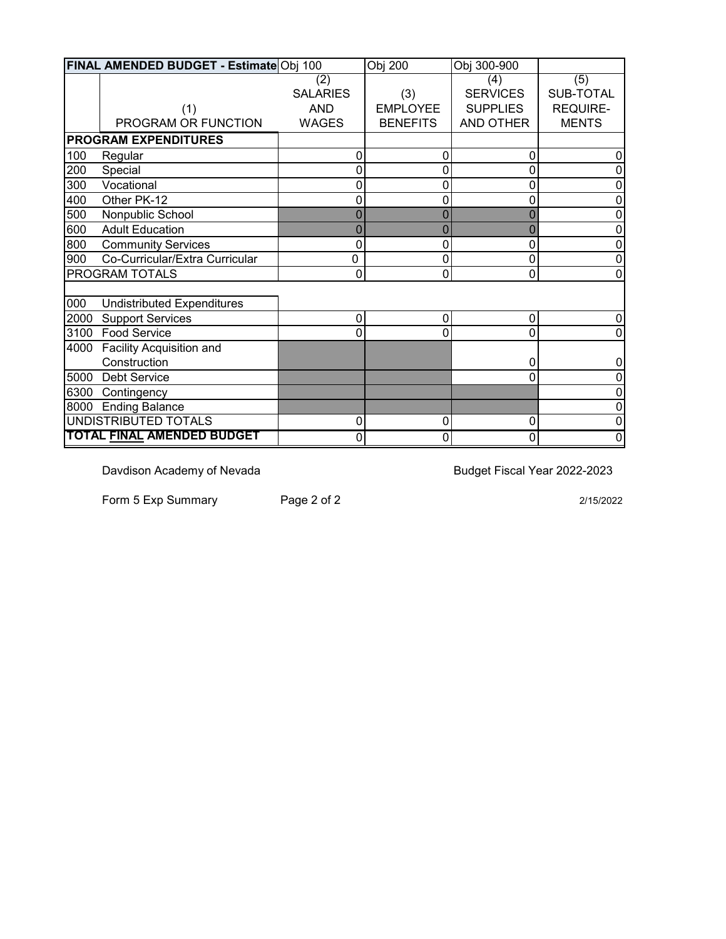|      | FINAL AMENDED BUDGET - EstimateObj 100 |                 | Obj 200         | Obj 300-900     |                 |
|------|----------------------------------------|-----------------|-----------------|-----------------|-----------------|
|      |                                        | (2)             |                 | (4)             | (5)             |
|      |                                        | <b>SALARIES</b> | (3)             | <b>SERVICES</b> | SUB-TOTAL       |
|      | (1)                                    | <b>AND</b>      | <b>EMPLOYEE</b> | <b>SUPPLIES</b> | <b>REQUIRE-</b> |
|      | PROGRAM OR FUNCTION                    | <b>WAGES</b>    | <b>BENEFITS</b> | AND OTHER       | <b>MENTS</b>    |
|      | <b>PROGRAM EXPENDITURES</b>            |                 |                 |                 |                 |
| 100  | Regular                                | 0               | $\mathbf{0}$    | $\mathbf 0$     | 0               |
| 200  | Special                                | 0               | $\mathbf 0$     | $\pmb{0}$       | 0               |
| 300  | Vocational                             | 0               | 0               | $\mathbf 0$     | 0               |
| 400  | Other PK-12                            | 0               | 0               | $\mathbf 0$     | 0               |
| 500  | Nonpublic School                       |                 |                 | $\mathbf 0$     |                 |
| 600  | <b>Adult Education</b>                 | 0               | $\Omega$        | $\overline{0}$  | 0               |
| 800  | <b>Community Services</b>              | 0               | 0               | $\mathbf 0$     | 0               |
| 900  | Co-Curricular/Extra Curricular         | 0               | $\mathbf 0$     | $\mathbf 0$     | 0               |
|      | PROGRAM TOTALS                         | $\mathbf 0$     | $\mathbf 0$     | $\mathbf 0$     | $\mathbf 0$     |
|      |                                        |                 |                 |                 |                 |
| 000  | <b>Undistributed Expenditures</b>      |                 |                 |                 |                 |
| 2000 | <b>Support Services</b>                | $\pmb{0}$       | $\mathbf 0$     | $\pmb{0}$       | 0               |
| 3100 | <b>Food Service</b>                    | 0               | 0               | $\Omega$        | 0               |
| 4000 | Facility Acquisition and               |                 |                 |                 |                 |
|      | Construction                           |                 |                 | 0               | 0               |
| 5000 | <b>Debt Service</b>                    |                 |                 | $\mathbf{0}$    | 0               |
| 6300 | Contingency                            |                 |                 |                 |                 |
|      | 8000 Ending Balance                    |                 |                 |                 | 0               |
|      | <b>UNDISTRIBUTED TOTALS</b>            | $\mathbf 0$     | 0               | $\mathbf 0$     | 0               |
|      | <b>TOTAL FINAL AMENDED BUDGET</b>      | 0               | 0               | $\mathbf 0$     | 0               |

Form 5 Exp Summary Page 2 of 2 2015/2022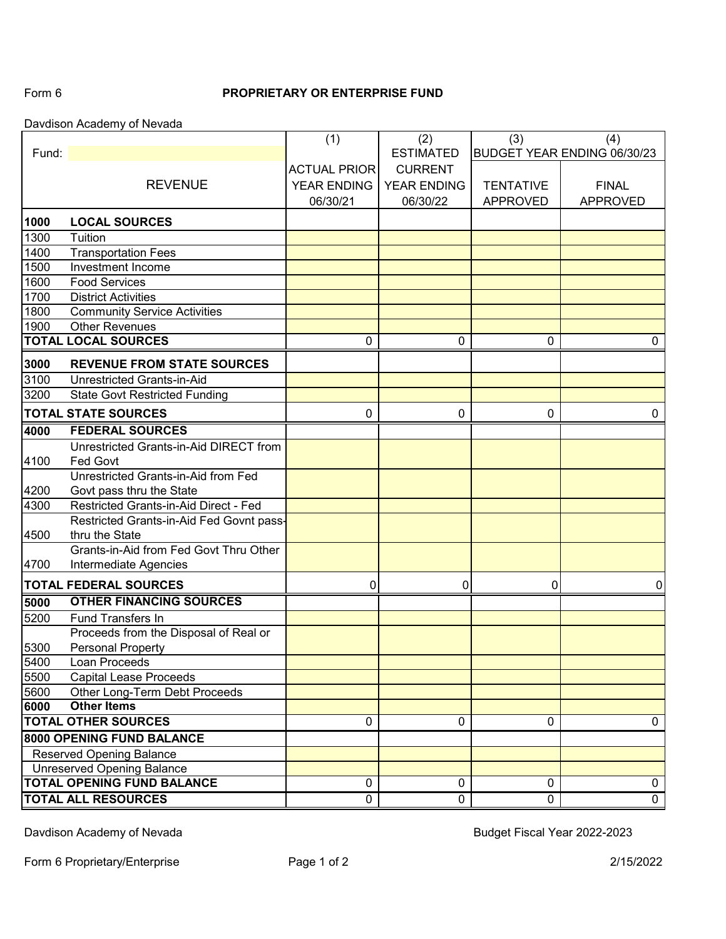# Form 6 **PROPRIETARY OR ENTERPRISE FUND**

Davdison Academy of Nevada

|       |                                          | (1)                 | (2)                | (3)              | (4)                         |
|-------|------------------------------------------|---------------------|--------------------|------------------|-----------------------------|
| Fund: |                                          |                     | <b>ESTIMATED</b>   |                  | BUDGET YEAR ENDING 06/30/23 |
|       |                                          | <b>ACTUAL PRIOR</b> | <b>CURRENT</b>     |                  |                             |
|       | <b>REVENUE</b>                           | YEAR ENDING         | <b>YEAR ENDING</b> | <b>TENTATIVE</b> | <b>FINAL</b>                |
|       |                                          | 06/30/21            | 06/30/22           | <b>APPROVED</b>  | <b>APPROVED</b>             |
| 1000  | <b>LOCAL SOURCES</b>                     |                     |                    |                  |                             |
| 1300  | Tuition                                  |                     |                    |                  |                             |
| 1400  | <b>Transportation Fees</b>               |                     |                    |                  |                             |
| 1500  | Investment Income                        |                     |                    |                  |                             |
| 1600  | <b>Food Services</b>                     |                     |                    |                  |                             |
| 1700  | <b>District Activities</b>               |                     |                    |                  |                             |
| 1800  | <b>Community Service Activities</b>      |                     |                    |                  |                             |
| 1900  | <b>Other Revenues</b>                    |                     |                    |                  |                             |
|       | <b>TOTAL LOCAL SOURCES</b>               | 0                   | 0                  | 0                | 0                           |
| 3000  | <b>REVENUE FROM STATE SOURCES</b>        |                     |                    |                  |                             |
| 3100  | Unrestricted Grants-in-Aid               |                     |                    |                  |                             |
| 3200  | <b>State Govt Restricted Funding</b>     |                     |                    |                  |                             |
|       | <b>TOTAL STATE SOURCES</b>               | $\pmb{0}$           | 0                  | $\mathbf 0$      | 0                           |
| 4000  | <b>FEDERAL SOURCES</b>                   |                     |                    |                  |                             |
|       | Unrestricted Grants-in-Aid DIRECT from   |                     |                    |                  |                             |
| 4100  | Fed Govt                                 |                     |                    |                  |                             |
|       | Unrestricted Grants-in-Aid from Fed      |                     |                    |                  |                             |
| 4200  | Govt pass thru the State                 |                     |                    |                  |                             |
| 4300  | Restricted Grants-in-Aid Direct - Fed    |                     |                    |                  |                             |
|       | Restricted Grants-in-Aid Fed Govnt pass- |                     |                    |                  |                             |
| 4500  | thru the State                           |                     |                    |                  |                             |
|       | Grants-in-Aid from Fed Govt Thru Other   |                     |                    |                  |                             |
| 4700  | Intermediate Agencies                    |                     |                    |                  |                             |
|       | <b>TOTAL FEDERAL SOURCES</b>             | 0                   | 0                  | 0                | $\mathbf 0$                 |
| 5000  | <b>OTHER FINANCING SOURCES</b>           |                     |                    |                  |                             |
| 5200  | Fund Transfers In                        |                     |                    |                  |                             |
|       | Proceeds from the Disposal of Real or    |                     |                    |                  |                             |
| 5300  | <b>Personal Property</b>                 |                     |                    |                  |                             |
| 5400  | Loan Proceeds                            |                     |                    |                  |                             |
| 5500  | <b>Capital Lease Proceeds</b>            |                     |                    |                  |                             |
| 5600  | Other Long-Term Debt Proceeds            |                     |                    |                  |                             |
| 6000  | <b>Other Items</b>                       |                     |                    |                  |                             |
|       | <b>TOTAL OTHER SOURCES</b>               | 0                   | 0                  | 0                | 0                           |
|       | <b>8000 OPENING FUND BALANCE</b>         |                     |                    |                  |                             |
|       | <b>Reserved Opening Balance</b>          |                     |                    |                  |                             |
|       | <b>Unreserved Opening Balance</b>        |                     |                    |                  |                             |
|       | <b>TOTAL OPENING FUND BALANCE</b>        | $\pmb{0}$           | 0                  | 0                | 0                           |
|       | <b>TOTAL ALL RESOURCES</b>               | $\overline{0}$      | 0                  | 0                | $\overline{0}$              |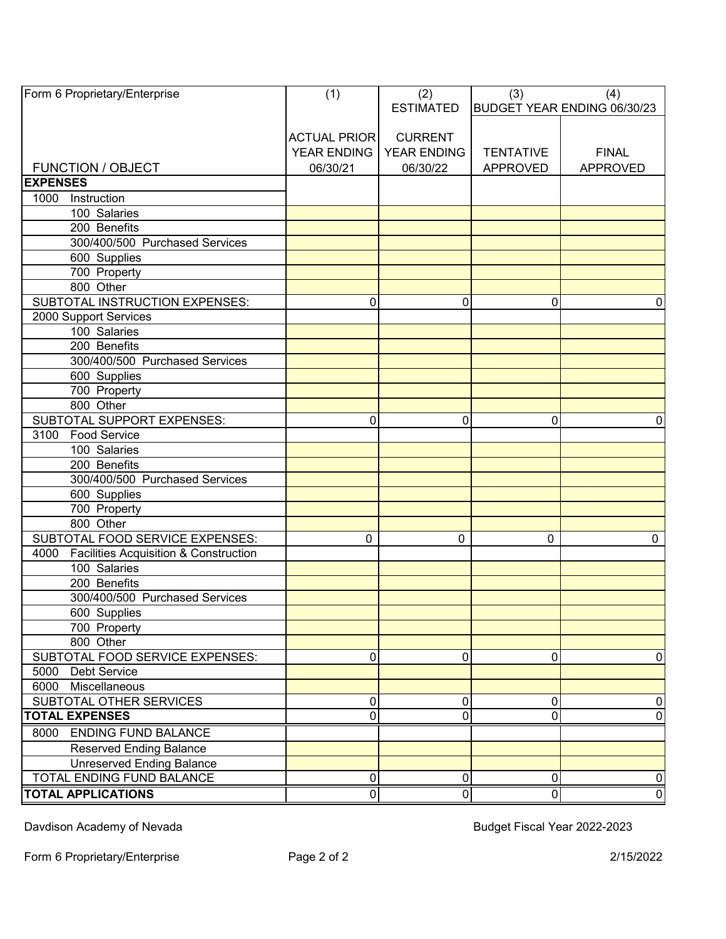| <b>ACTUAL PRIOR</b><br><b>CURRENT</b><br>YEAR ENDING<br>YEAR ENDING<br><b>TENTATIVE</b><br><b>FINAL</b><br><b>FUNCTION / OBJECT</b><br>06/30/21<br>06/30/22<br><b>APPROVED</b><br><b>APPROVED</b><br><b>EXPENSES</b><br>1000 Instruction<br>100 Salaries<br>200 Benefits<br>300/400/500 Purchased Services<br>600 Supplies<br>700 Property<br>800 Other<br>SUBTOTAL INSTRUCTION EXPENSES:<br>0<br>0<br>0<br>$\Omega$<br>2000 Support Services<br>100 Salaries<br>200 Benefits<br>300/400/500 Purchased Services<br>600 Supplies<br>700 Property<br>800 Other<br>SUBTOTAL SUPPORT EXPENSES:<br>0<br>0<br>0<br>$\mathbf 0$<br><b>Food Service</b><br>3100<br>$\overline{100}$ Salaries<br>200 Benefits<br>300/400/500 Purchased Services<br>600 Supplies<br>700 Property<br>800 Other<br>SUBTOTAL FOOD SERVICE EXPENSES:<br>0<br>$\Omega$<br>$\mathbf{0}$<br>0<br><b>Facilities Acquisition &amp; Construction</b><br>4000<br>100 Salaries<br>200 Benefits<br>300/400/500 Purchased Services<br>600 Supplies<br>700 Property<br>800 Other<br>SUBTOTAL FOOD SERVICE EXPENSES:<br>0<br>0<br>$\mathbf 0$<br>5000 Debt Service<br>6000 Miscellaneous<br>SUBTOTAL OTHER SERVICES<br>0<br>$\overline{0}$<br>0<br>$\mathbf 0$<br> 0 <br>0<br>0<br>0<br>8000 ENDING FUND BALANCE<br><b>Reserved Ending Balance</b><br><b>Unreserved Ending Balance</b><br>TOTAL ENDING FUND BALANCE<br>$\pmb{0}$<br>$\pmb{0}$<br>$\pmb{0}$<br><b>TOTAL APPLICATIONS</b><br>$\pmb{0}$<br>$\pmb{0}$<br> 0 | Form 6 Proprietary/Enterprise | (1) | (2)<br><b>ESTIMATED</b> | (3) | (4)<br>BUDGET YEAR ENDING 06/30/23 |
|-------------------------------------------------------------------------------------------------------------------------------------------------------------------------------------------------------------------------------------------------------------------------------------------------------------------------------------------------------------------------------------------------------------------------------------------------------------------------------------------------------------------------------------------------------------------------------------------------------------------------------------------------------------------------------------------------------------------------------------------------------------------------------------------------------------------------------------------------------------------------------------------------------------------------------------------------------------------------------------------------------------------------------------------------------------------------------------------------------------------------------------------------------------------------------------------------------------------------------------------------------------------------------------------------------------------------------------------------------------------------------------------------------------------------------------------------------------------------------|-------------------------------|-----|-------------------------|-----|------------------------------------|
|                                                                                                                                                                                                                                                                                                                                                                                                                                                                                                                                                                                                                                                                                                                                                                                                                                                                                                                                                                                                                                                                                                                                                                                                                                                                                                                                                                                                                                                                               |                               |     |                         |     |                                    |
|                                                                                                                                                                                                                                                                                                                                                                                                                                                                                                                                                                                                                                                                                                                                                                                                                                                                                                                                                                                                                                                                                                                                                                                                                                                                                                                                                                                                                                                                               |                               |     |                         |     |                                    |
|                                                                                                                                                                                                                                                                                                                                                                                                                                                                                                                                                                                                                                                                                                                                                                                                                                                                                                                                                                                                                                                                                                                                                                                                                                                                                                                                                                                                                                                                               |                               |     |                         |     |                                    |
|                                                                                                                                                                                                                                                                                                                                                                                                                                                                                                                                                                                                                                                                                                                                                                                                                                                                                                                                                                                                                                                                                                                                                                                                                                                                                                                                                                                                                                                                               |                               |     |                         |     |                                    |
|                                                                                                                                                                                                                                                                                                                                                                                                                                                                                                                                                                                                                                                                                                                                                                                                                                                                                                                                                                                                                                                                                                                                                                                                                                                                                                                                                                                                                                                                               |                               |     |                         |     |                                    |
|                                                                                                                                                                                                                                                                                                                                                                                                                                                                                                                                                                                                                                                                                                                                                                                                                                                                                                                                                                                                                                                                                                                                                                                                                                                                                                                                                                                                                                                                               |                               |     |                         |     |                                    |
|                                                                                                                                                                                                                                                                                                                                                                                                                                                                                                                                                                                                                                                                                                                                                                                                                                                                                                                                                                                                                                                                                                                                                                                                                                                                                                                                                                                                                                                                               |                               |     |                         |     |                                    |
|                                                                                                                                                                                                                                                                                                                                                                                                                                                                                                                                                                                                                                                                                                                                                                                                                                                                                                                                                                                                                                                                                                                                                                                                                                                                                                                                                                                                                                                                               |                               |     |                         |     |                                    |
|                                                                                                                                                                                                                                                                                                                                                                                                                                                                                                                                                                                                                                                                                                                                                                                                                                                                                                                                                                                                                                                                                                                                                                                                                                                                                                                                                                                                                                                                               |                               |     |                         |     |                                    |
|                                                                                                                                                                                                                                                                                                                                                                                                                                                                                                                                                                                                                                                                                                                                                                                                                                                                                                                                                                                                                                                                                                                                                                                                                                                                                                                                                                                                                                                                               |                               |     |                         |     |                                    |
|                                                                                                                                                                                                                                                                                                                                                                                                                                                                                                                                                                                                                                                                                                                                                                                                                                                                                                                                                                                                                                                                                                                                                                                                                                                                                                                                                                                                                                                                               |                               |     |                         |     |                                    |
| $\overline{0}$<br>$\overline{0}$<br>$\overline{0}$                                                                                                                                                                                                                                                                                                                                                                                                                                                                                                                                                                                                                                                                                                                                                                                                                                                                                                                                                                                                                                                                                                                                                                                                                                                                                                                                                                                                                            |                               |     |                         |     |                                    |
|                                                                                                                                                                                                                                                                                                                                                                                                                                                                                                                                                                                                                                                                                                                                                                                                                                                                                                                                                                                                                                                                                                                                                                                                                                                                                                                                                                                                                                                                               |                               |     |                         |     |                                    |
|                                                                                                                                                                                                                                                                                                                                                                                                                                                                                                                                                                                                                                                                                                                                                                                                                                                                                                                                                                                                                                                                                                                                                                                                                                                                                                                                                                                                                                                                               |                               |     |                         |     |                                    |
|                                                                                                                                                                                                                                                                                                                                                                                                                                                                                                                                                                                                                                                                                                                                                                                                                                                                                                                                                                                                                                                                                                                                                                                                                                                                                                                                                                                                                                                                               |                               |     |                         |     |                                    |
|                                                                                                                                                                                                                                                                                                                                                                                                                                                                                                                                                                                                                                                                                                                                                                                                                                                                                                                                                                                                                                                                                                                                                                                                                                                                                                                                                                                                                                                                               |                               |     |                         |     |                                    |
|                                                                                                                                                                                                                                                                                                                                                                                                                                                                                                                                                                                                                                                                                                                                                                                                                                                                                                                                                                                                                                                                                                                                                                                                                                                                                                                                                                                                                                                                               |                               |     |                         |     |                                    |
|                                                                                                                                                                                                                                                                                                                                                                                                                                                                                                                                                                                                                                                                                                                                                                                                                                                                                                                                                                                                                                                                                                                                                                                                                                                                                                                                                                                                                                                                               |                               |     |                         |     |                                    |
|                                                                                                                                                                                                                                                                                                                                                                                                                                                                                                                                                                                                                                                                                                                                                                                                                                                                                                                                                                                                                                                                                                                                                                                                                                                                                                                                                                                                                                                                               |                               |     |                         |     |                                    |
|                                                                                                                                                                                                                                                                                                                                                                                                                                                                                                                                                                                                                                                                                                                                                                                                                                                                                                                                                                                                                                                                                                                                                                                                                                                                                                                                                                                                                                                                               |                               |     |                         |     |                                    |
|                                                                                                                                                                                                                                                                                                                                                                                                                                                                                                                                                                                                                                                                                                                                                                                                                                                                                                                                                                                                                                                                                                                                                                                                                                                                                                                                                                                                                                                                               |                               |     |                         |     |                                    |
|                                                                                                                                                                                                                                                                                                                                                                                                                                                                                                                                                                                                                                                                                                                                                                                                                                                                                                                                                                                                                                                                                                                                                                                                                                                                                                                                                                                                                                                                               |                               |     |                         |     |                                    |
|                                                                                                                                                                                                                                                                                                                                                                                                                                                                                                                                                                                                                                                                                                                                                                                                                                                                                                                                                                                                                                                                                                                                                                                                                                                                                                                                                                                                                                                                               |                               |     |                         |     |                                    |
|                                                                                                                                                                                                                                                                                                                                                                                                                                                                                                                                                                                                                                                                                                                                                                                                                                                                                                                                                                                                                                                                                                                                                                                                                                                                                                                                                                                                                                                                               |                               |     |                         |     |                                    |
|                                                                                                                                                                                                                                                                                                                                                                                                                                                                                                                                                                                                                                                                                                                                                                                                                                                                                                                                                                                                                                                                                                                                                                                                                                                                                                                                                                                                                                                                               |                               |     |                         |     |                                    |
|                                                                                                                                                                                                                                                                                                                                                                                                                                                                                                                                                                                                                                                                                                                                                                                                                                                                                                                                                                                                                                                                                                                                                                                                                                                                                                                                                                                                                                                                               |                               |     |                         |     |                                    |
|                                                                                                                                                                                                                                                                                                                                                                                                                                                                                                                                                                                                                                                                                                                                                                                                                                                                                                                                                                                                                                                                                                                                                                                                                                                                                                                                                                                                                                                                               |                               |     |                         |     |                                    |
|                                                                                                                                                                                                                                                                                                                                                                                                                                                                                                                                                                                                                                                                                                                                                                                                                                                                                                                                                                                                                                                                                                                                                                                                                                                                                                                                                                                                                                                                               |                               |     |                         |     |                                    |
|                                                                                                                                                                                                                                                                                                                                                                                                                                                                                                                                                                                                                                                                                                                                                                                                                                                                                                                                                                                                                                                                                                                                                                                                                                                                                                                                                                                                                                                                               |                               |     |                         |     |                                    |
|                                                                                                                                                                                                                                                                                                                                                                                                                                                                                                                                                                                                                                                                                                                                                                                                                                                                                                                                                                                                                                                                                                                                                                                                                                                                                                                                                                                                                                                                               |                               |     |                         |     |                                    |
|                                                                                                                                                                                                                                                                                                                                                                                                                                                                                                                                                                                                                                                                                                                                                                                                                                                                                                                                                                                                                                                                                                                                                                                                                                                                                                                                                                                                                                                                               |                               |     |                         |     |                                    |
|                                                                                                                                                                                                                                                                                                                                                                                                                                                                                                                                                                                                                                                                                                                                                                                                                                                                                                                                                                                                                                                                                                                                                                                                                                                                                                                                                                                                                                                                               |                               |     |                         |     |                                    |
|                                                                                                                                                                                                                                                                                                                                                                                                                                                                                                                                                                                                                                                                                                                                                                                                                                                                                                                                                                                                                                                                                                                                                                                                                                                                                                                                                                                                                                                                               |                               |     |                         |     |                                    |
|                                                                                                                                                                                                                                                                                                                                                                                                                                                                                                                                                                                                                                                                                                                                                                                                                                                                                                                                                                                                                                                                                                                                                                                                                                                                                                                                                                                                                                                                               |                               |     |                         |     |                                    |
|                                                                                                                                                                                                                                                                                                                                                                                                                                                                                                                                                                                                                                                                                                                                                                                                                                                                                                                                                                                                                                                                                                                                                                                                                                                                                                                                                                                                                                                                               |                               |     |                         |     |                                    |
|                                                                                                                                                                                                                                                                                                                                                                                                                                                                                                                                                                                                                                                                                                                                                                                                                                                                                                                                                                                                                                                                                                                                                                                                                                                                                                                                                                                                                                                                               |                               |     |                         |     |                                    |
|                                                                                                                                                                                                                                                                                                                                                                                                                                                                                                                                                                                                                                                                                                                                                                                                                                                                                                                                                                                                                                                                                                                                                                                                                                                                                                                                                                                                                                                                               |                               |     |                         |     |                                    |
|                                                                                                                                                                                                                                                                                                                                                                                                                                                                                                                                                                                                                                                                                                                                                                                                                                                                                                                                                                                                                                                                                                                                                                                                                                                                                                                                                                                                                                                                               |                               |     |                         |     |                                    |
|                                                                                                                                                                                                                                                                                                                                                                                                                                                                                                                                                                                                                                                                                                                                                                                                                                                                                                                                                                                                                                                                                                                                                                                                                                                                                                                                                                                                                                                                               |                               |     |                         |     |                                    |
|                                                                                                                                                                                                                                                                                                                                                                                                                                                                                                                                                                                                                                                                                                                                                                                                                                                                                                                                                                                                                                                                                                                                                                                                                                                                                                                                                                                                                                                                               |                               |     |                         |     |                                    |
|                                                                                                                                                                                                                                                                                                                                                                                                                                                                                                                                                                                                                                                                                                                                                                                                                                                                                                                                                                                                                                                                                                                                                                                                                                                                                                                                                                                                                                                                               | <b>TOTAL EXPENSES</b>         |     |                         |     |                                    |
|                                                                                                                                                                                                                                                                                                                                                                                                                                                                                                                                                                                                                                                                                                                                                                                                                                                                                                                                                                                                                                                                                                                                                                                                                                                                                                                                                                                                                                                                               |                               |     |                         |     |                                    |
|                                                                                                                                                                                                                                                                                                                                                                                                                                                                                                                                                                                                                                                                                                                                                                                                                                                                                                                                                                                                                                                                                                                                                                                                                                                                                                                                                                                                                                                                               |                               |     |                         |     |                                    |
|                                                                                                                                                                                                                                                                                                                                                                                                                                                                                                                                                                                                                                                                                                                                                                                                                                                                                                                                                                                                                                                                                                                                                                                                                                                                                                                                                                                                                                                                               |                               |     |                         |     |                                    |
|                                                                                                                                                                                                                                                                                                                                                                                                                                                                                                                                                                                                                                                                                                                                                                                                                                                                                                                                                                                                                                                                                                                                                                                                                                                                                                                                                                                                                                                                               |                               |     |                         |     |                                    |
|                                                                                                                                                                                                                                                                                                                                                                                                                                                                                                                                                                                                                                                                                                                                                                                                                                                                                                                                                                                                                                                                                                                                                                                                                                                                                                                                                                                                                                                                               |                               |     |                         |     |                                    |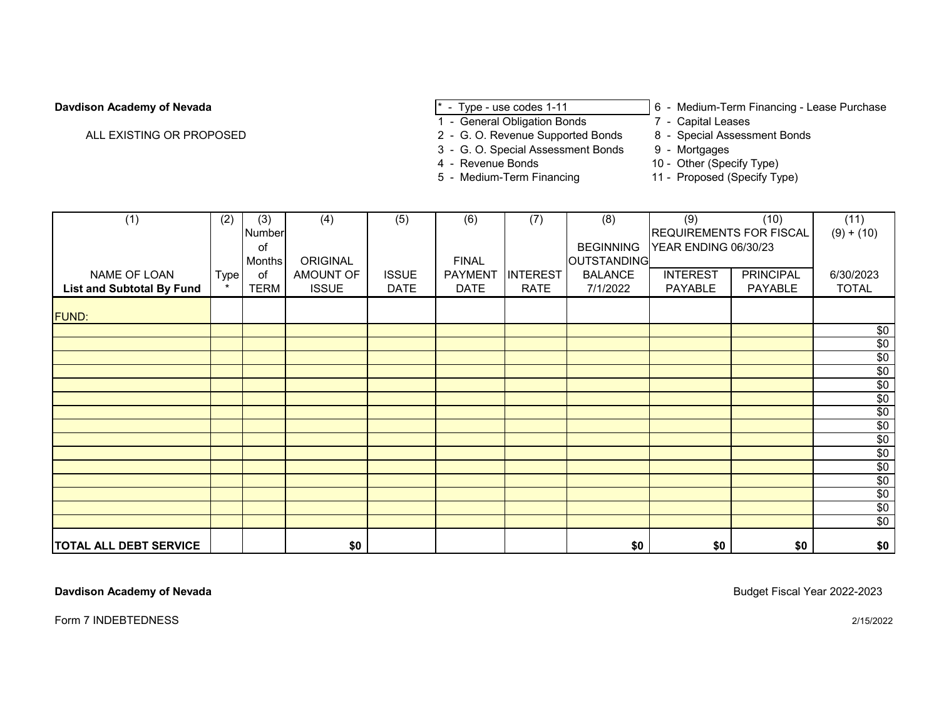ALL EXISTING OR PROPOSED 2 - G. O. Revenue Supported Bonds

- 
- 1 General Obligation Bonds<br>2 G. O. Revenue Supported Bonds<br>2 G. O. Revenue Supported Bonds<br>8 Special Assessment Bonds
- 
- **Davdison Academy of Nevada Exercise 2018 1 Type use codes 1-11** 6 Medium-Term Financing Lease Purchase **Purchase** 1 General Obligation Bonds 7 Capital Leases
	-
	-
	- 3 G. O. Special Assessment Bonds 9 Mortgages<br>4 Revenue Bonds 10 Other (Spee
		-
	-
	- 4 Revenue Bonds<br>
	5 Medium-Term Financing<br>
	11 Proposed (Specify Ty 11 - Proposed (Specify Type)

| (1)                              | (2)         | (3)         | (4)          | (5)          | (6)            | (7)             | (8)                | (9)                            | (10)             | (11)            |
|----------------------------------|-------------|-------------|--------------|--------------|----------------|-----------------|--------------------|--------------------------------|------------------|-----------------|
|                                  |             | Number      |              |              |                |                 |                    | <b>REQUIREMENTS FOR FISCAL</b> |                  | $(9) + (10)$    |
|                                  |             | оf          |              |              |                |                 | <b>BEGINNING</b>   | YEAR ENDING 06/30/23           |                  |                 |
|                                  |             | Months      | ORIGINAL     |              | <b>FINAL</b>   |                 | <b>OUTSTANDING</b> |                                |                  |                 |
| NAME OF LOAN                     | <b>Type</b> | 0f          | AMOUNT OF    | <b>ISSUE</b> | <b>PAYMENT</b> | <b>INTEREST</b> | <b>BALANCE</b>     | <b>INTEREST</b>                | <b>PRINCIPAL</b> | 6/30/2023       |
| <b>List and Subtotal By Fund</b> |             | <b>TERM</b> | <b>ISSUE</b> | <b>DATE</b>  | <b>DATE</b>    | <b>RATE</b>     | 7/1/2022           | PAYABLE                        | PAYABLE          | <b>TOTAL</b>    |
| <b>FUND:</b>                     |             |             |              |              |                |                 |                    |                                |                  |                 |
|                                  |             |             |              |              |                |                 |                    |                                |                  | \$0             |
|                                  |             |             |              |              |                |                 |                    |                                |                  | $\sqrt{6}$      |
|                                  |             |             |              |              |                |                 |                    |                                |                  | \$0             |
|                                  |             |             |              |              |                |                 |                    |                                |                  | $\sqrt{6}$      |
|                                  |             |             |              |              |                |                 |                    |                                |                  | $\sqrt{6}$      |
|                                  |             |             |              |              |                |                 |                    |                                |                  | \$0             |
|                                  |             |             |              |              |                |                 |                    |                                |                  | $\overline{60}$ |
|                                  |             |             |              |              |                |                 |                    |                                |                  | \$0             |
|                                  |             |             |              |              |                |                 |                    |                                |                  | \$0             |
|                                  |             |             |              |              |                |                 |                    |                                |                  | \$0             |
|                                  |             |             |              |              |                |                 |                    |                                |                  | \$0             |
|                                  |             |             |              |              |                |                 |                    |                                |                  | $\sqrt{6}$      |
|                                  |             |             |              |              |                |                 |                    |                                |                  | \$0             |
|                                  |             |             |              |              |                |                 |                    |                                |                  | \$0             |
|                                  |             |             |              |              |                |                 |                    |                                |                  | $\sqrt{6}$      |
| <b>TOTAL ALL DEBT SERVICE</b>    |             |             | \$0          |              |                |                 | \$0                | \$0                            | \$0              | \$0             |

**Davdison Academy of Nevada** Budget Fiscal Year 2022-2023

Form 7 INDEBTEDNESS 2/15/2022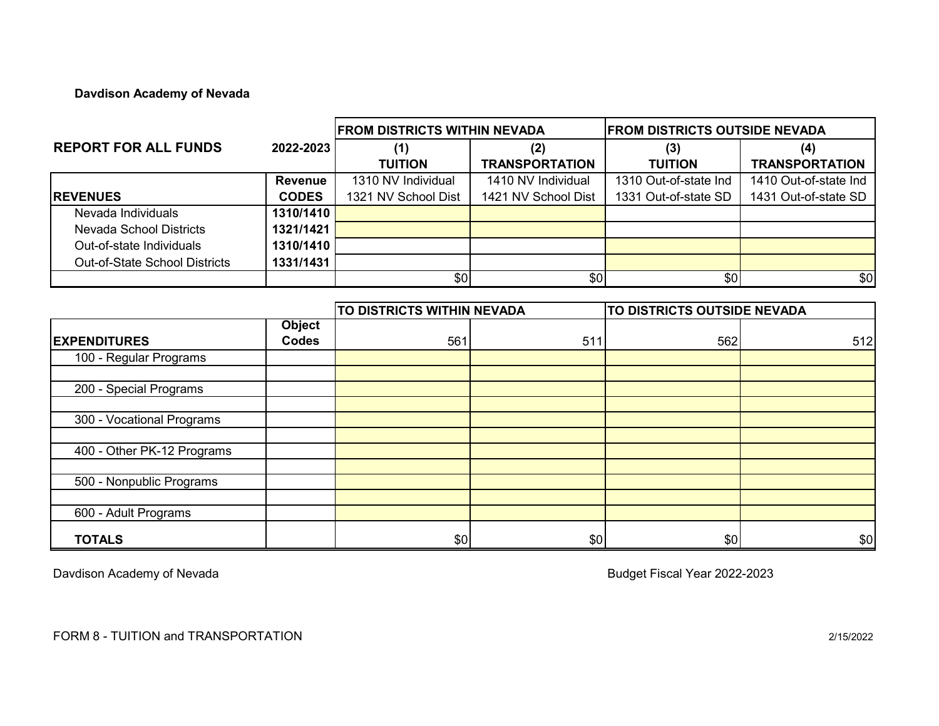# **Davdison Academy of Nevada**

|                                      |                | <b>FROM DISTRICTS WITHIN NEVADA</b> |                       | IFROM DISTRICTS OUTSIDE NEVADA |                       |  |
|--------------------------------------|----------------|-------------------------------------|-----------------------|--------------------------------|-----------------------|--|
| <b>REPORT FOR ALL FUNDS</b>          | 2022-2023      | (1)                                 | (2)                   | (3)                            | (4)                   |  |
|                                      |                | <b>TUITION</b>                      | <b>TRANSPORTATION</b> | <b>TUITION</b>                 | <b>TRANSPORTATION</b> |  |
|                                      | <b>Revenue</b> | 1310 NV Individual                  | 1410 NV Individual    | 1310 Out-of-state Ind          | 1410 Out-of-state Ind |  |
| <b>IREVENUES</b>                     | <b>CODES</b>   | 1321 NV School Dist                 | 1421 NV School Dist   | 1331 Out-of-state SD           | 1431 Out-of-state SD  |  |
| Nevada Individuals                   | 1310/1410      |                                     |                       |                                |                       |  |
| Nevada School Districts              | 1321/1421      |                                     |                       |                                |                       |  |
| Out-of-state Individuals             | 1310/1410      |                                     |                       |                                |                       |  |
| <b>Out-of-State School Districts</b> | 1331/1431      |                                     |                       |                                |                       |  |
|                                      |                | \$0                                 | \$0                   | \$0                            | \$0                   |  |

|                            |                               | TO DISTRICTS WITHIN NEVADA |     | TO DISTRICTS OUTSIDE NEVADA |     |  |  |
|----------------------------|-------------------------------|----------------------------|-----|-----------------------------|-----|--|--|
| <b>EXPENDITURES</b>        | <b>Object</b><br><b>Codes</b> | 561                        | 511 | 562                         | 512 |  |  |
| 100 - Regular Programs     |                               |                            |     |                             |     |  |  |
| 200 - Special Programs     |                               |                            |     |                             |     |  |  |
| 300 - Vocational Programs  |                               |                            |     |                             |     |  |  |
| 400 - Other PK-12 Programs |                               |                            |     |                             |     |  |  |
| 500 - Nonpublic Programs   |                               |                            |     |                             |     |  |  |
| 600 - Adult Programs       |                               |                            |     |                             |     |  |  |
| <b>TOTALS</b>              |                               | \$0                        | \$0 | \$0                         | \$0 |  |  |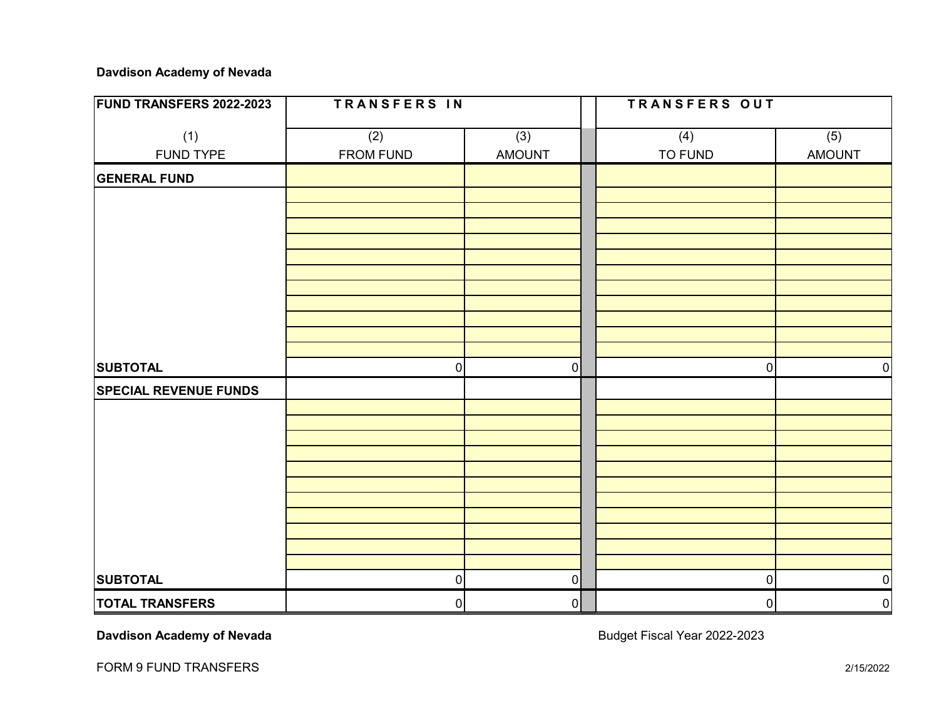# **Davdison Academy of Nevada**

| <b>FUND TRANSFERS 2022-2023</b> | TRANSFERS IN     |                      | TRANSFERS OUT |                |                      |  |  |
|---------------------------------|------------------|----------------------|---------------|----------------|----------------------|--|--|
| (1)<br><b>FUND TYPE</b>         | (2)<br>FROM FUND | (3)<br><b>AMOUNT</b> |               | (4)<br>TO FUND | (5)<br><b>AMOUNT</b> |  |  |
| <b>GENERAL FUND</b>             |                  |                      |               |                |                      |  |  |
|                                 |                  |                      |               |                |                      |  |  |
|                                 |                  |                      |               |                |                      |  |  |
|                                 |                  |                      |               |                |                      |  |  |
|                                 |                  |                      |               |                |                      |  |  |
|                                 |                  |                      |               |                |                      |  |  |
|                                 |                  |                      |               |                |                      |  |  |
|                                 |                  |                      |               |                |                      |  |  |
| <b>SUBTOTAL</b>                 | $\mathbf 0$      | $\overline{0}$       |               | 0              | $\overline{0}$       |  |  |
| <b>SPECIAL REVENUE FUNDS</b>    |                  |                      |               |                |                      |  |  |
|                                 |                  |                      |               |                |                      |  |  |
|                                 |                  |                      |               |                |                      |  |  |
|                                 |                  |                      |               |                |                      |  |  |
|                                 |                  |                      |               |                |                      |  |  |
|                                 |                  |                      |               |                |                      |  |  |
|                                 |                  |                      |               |                |                      |  |  |
|                                 |                  |                      |               |                |                      |  |  |
| <b>SUBTOTAL</b>                 | $\overline{0}$   | 0                    |               | $\pmb{0}$      | $\overline{0}$       |  |  |
| <b>TOTAL TRANSFERS</b>          | $\overline{0}$   | 0                    |               | $\overline{0}$ | $\overline{0}$       |  |  |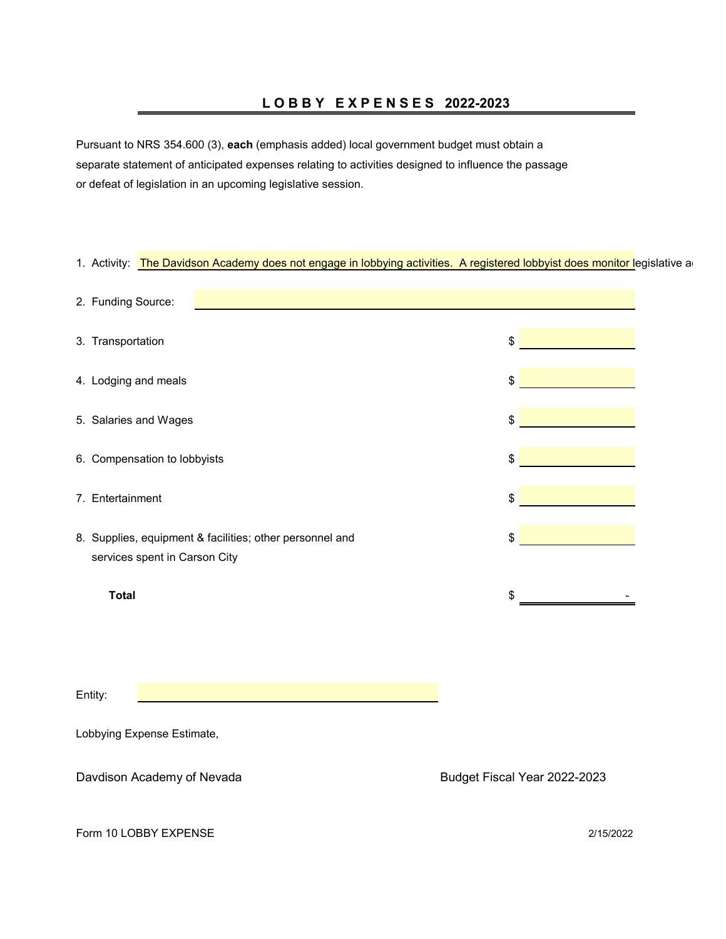# **L O B B Y E X P E N S E S 2022-2023**

Pursuant to NRS 354.600 (3), **each** (emphasis added) local government budget must obtain a separate statement of anticipated expenses relating to activities designed to influence the passage or defeat of legislation in an upcoming legislative session.

| 1. Activity: The Davidson Academy does not engage in lobbying activities. A registered lobbyist does monitor legislative a |                              |
|----------------------------------------------------------------------------------------------------------------------------|------------------------------|
| 2. Funding Source:                                                                                                         |                              |
| 3. Transportation                                                                                                          | \$                           |
| 4. Lodging and meals                                                                                                       | \$                           |
| 5. Salaries and Wages                                                                                                      | \$                           |
| 6. Compensation to lobbyists                                                                                               | \$                           |
| 7. Entertainment                                                                                                           | \$                           |
| 8. Supplies, equipment & facilities; other personnel and<br>services spent in Carson City                                  | \$                           |
| <b>Total</b>                                                                                                               | \$                           |
|                                                                                                                            |                              |
| Entity:                                                                                                                    |                              |
| Lobbying Expense Estimate,                                                                                                 |                              |
| Davdison Academy of Nevada                                                                                                 | Budget Fiscal Year 2022-2023 |
| Form 10 LOBBY EXPENSE                                                                                                      | 2/15/2022                    |